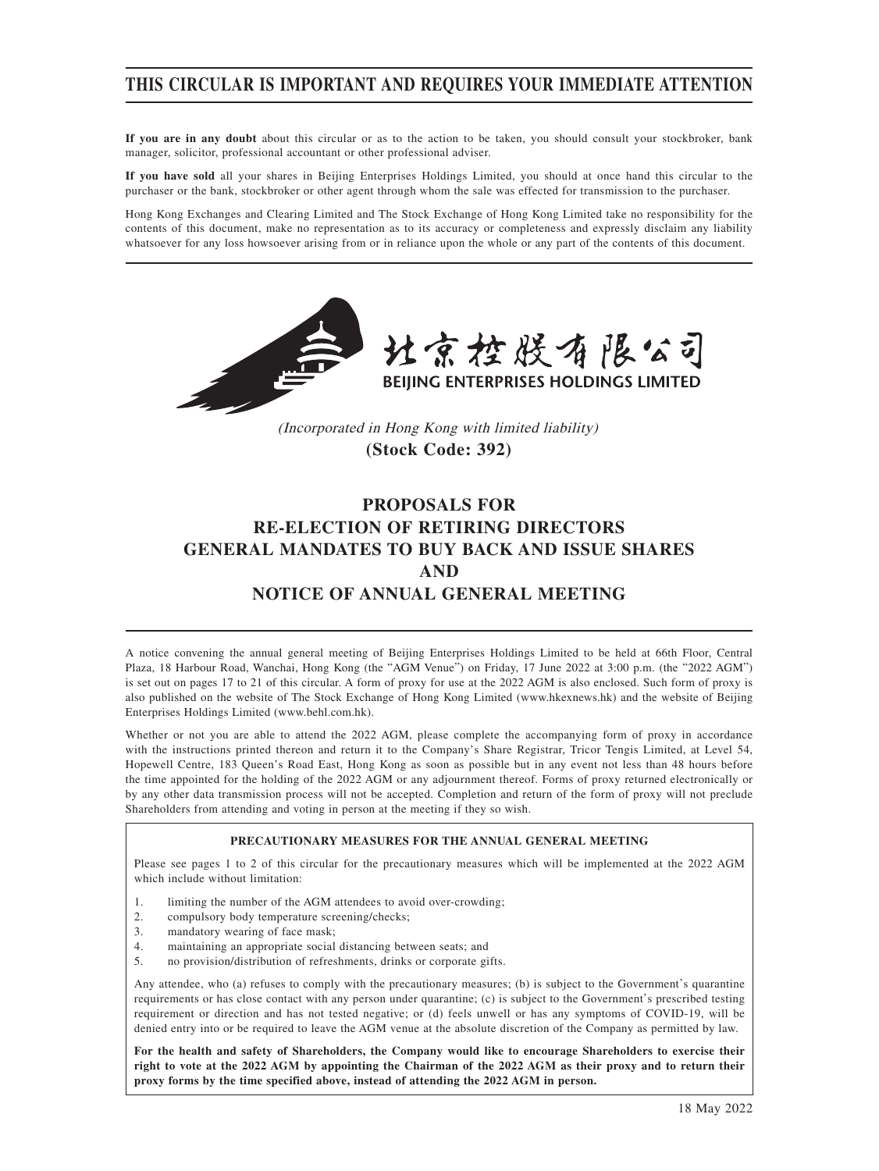# **THIS CIRCULAR IS IMPORTANT AND REQUIRES YOUR IMMEDIATE ATTENTION**

**If you are in any doubt** about this circular or as to the action to be taken, you should consult your stockbroker, bank manager, solicitor, professional accountant or other professional adviser.

**If you have sold** all your shares in Beijing Enterprises Holdings Limited, you should at once hand this circular to the purchaser or the bank, stockbroker or other agent through whom the sale was effected for transmission to the purchaser.

Hong Kong Exchanges and Clearing Limited and The Stock Exchange of Hong Kong Limited take no responsibility for the contents of this document, make no representation as to its accuracy or completeness and expressly disclaim any liability whatsoever for any loss howsoever arising from or in reliance upon the whole or any part of the contents of this document.



(Incorporated in Hong Kong with limited liability) **(Stock Code: 392)**

# **PROPOSALS FOR RE-ELECTION OF RETIRING DIRECTORS GENERAL MANDATES TO BUY BACK AND ISSUE SHARES AND NOTICE OF ANNUAL GENERAL MEETING**

A notice convening the annual general meeting of Beijing Enterprises Holdings Limited to be held at 66th Floor, Central Plaza, 18 Harbour Road, Wanchai, Hong Kong (the "AGM Venue") on Friday, 17 June 2022 at 3:00 p.m. (the "2022 AGM") is set out on pages 17 to 21 of this circular. A form of proxy for use at the 2022 AGM is also enclosed. Such form of proxy is also published on the website of The Stock Exchange of Hong Kong Limited (www.hkexnews.hk) and the website of Beijing Enterprises Holdings Limited (www.behl.com.hk).

Whether or not you are able to attend the 2022 AGM, please complete the accompanying form of proxy in accordance with the instructions printed thereon and return it to the Company's Share Registrar, Tricor Tengis Limited, at Level 54, Hopewell Centre, 183 Queen's Road East, Hong Kong as soon as possible but in any event not less than 48 hours before the time appointed for the holding of the 2022 AGM or any adjournment thereof. Forms of proxy returned electronically or by any other data transmission process will not be accepted. Completion and return of the form of proxy will not preclude Shareholders from attending and voting in person at the meeting if they so wish.

#### **PRECAUTIONARY MEASURES FOR THE ANNUAL GENERAL MEETING**

Please see pages 1 to 2 of this circular for the precautionary measures which will be implemented at the 2022 AGM which include without limitation:

- 1. limiting the number of the AGM attendees to avoid over-crowding;
- 2. compulsory body temperature screening/checks;
- 3. mandatory wearing of face mask;<br>4. maintaining an appropriate social
- maintaining an appropriate social distancing between seats; and
- 5. no provision/distribution of refreshments, drinks or corporate gifts.

Any attendee, who (a) refuses to comply with the precautionary measures; (b) is subject to the Government's quarantine requirements or has close contact with any person under quarantine; (c) is subject to the Government's prescribed testing requirement or direction and has not tested negative; or (d) feels unwell or has any symptoms of COVID-19, will be denied entry into or be required to leave the AGM venue at the absolute discretion of the Company as permitted by law.

**For the health and safety of Shareholders, the Company would like to encourage Shareholders to exercise their right to vote at the 2022 AGM by appointing the Chairman of the 2022 AGM as their proxy and to return their proxy forms by the time specified above, instead of attending the 2022 AGM in person.**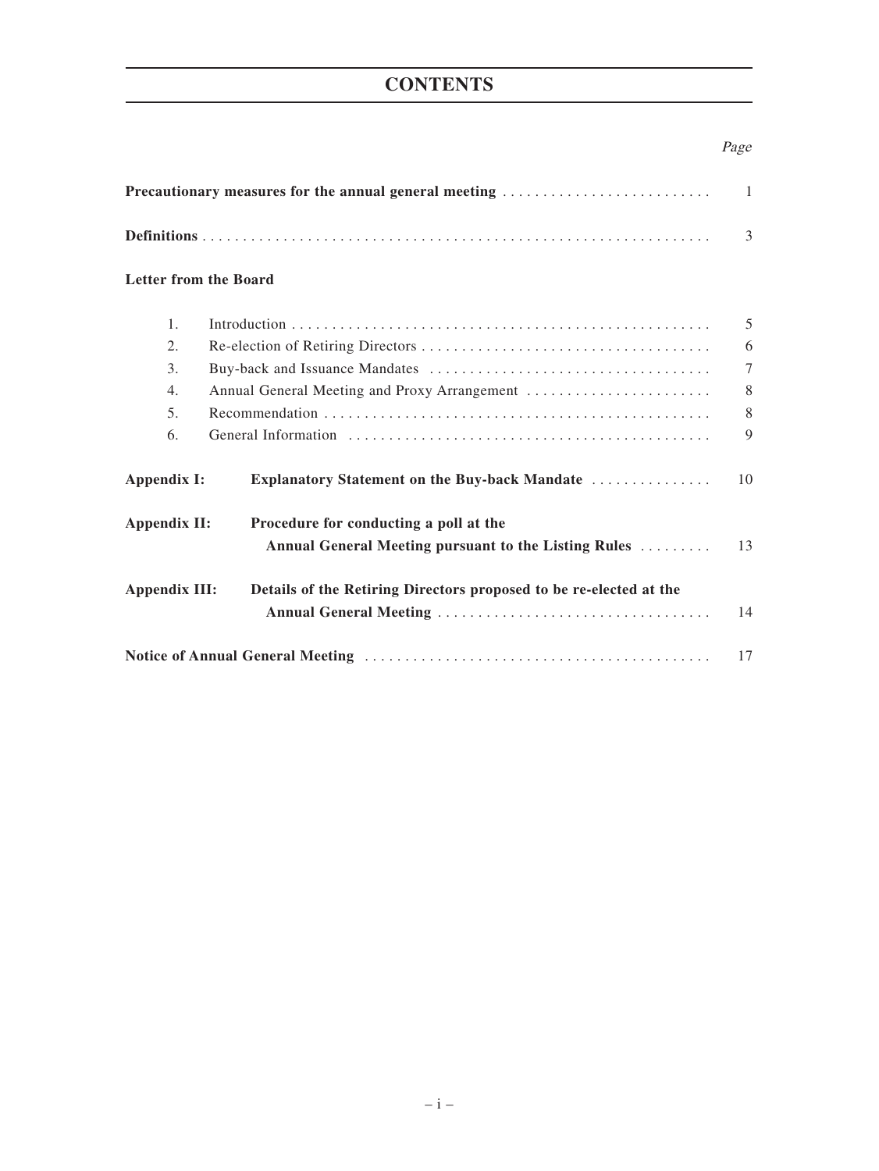# **CONTENTS**

## Page

| Precautionary measures for the annual general meeting |                                                                    |        |  |
|-------------------------------------------------------|--------------------------------------------------------------------|--------|--|
|                                                       |                                                                    | 3      |  |
| <b>Letter from the Board</b>                          |                                                                    |        |  |
| 1.                                                    |                                                                    | 5      |  |
| 2.                                                    |                                                                    | 6      |  |
| $\mathcal{E}$                                         |                                                                    | $\tau$ |  |
| 4.                                                    | Annual General Meeting and Proxy Arrangement                       | 8      |  |
| 5 <sub>1</sub>                                        |                                                                    | 8      |  |
| 6.                                                    |                                                                    | 9      |  |
| Appendix I:                                           | Explanatory Statement on the Buy-back Mandate                      | 10     |  |
| Appendix II:                                          | Procedure for conducting a poll at the                             |        |  |
|                                                       | Annual General Meeting pursuant to the Listing Rules               | 13     |  |
| <b>Appendix III:</b>                                  | Details of the Retiring Directors proposed to be re-elected at the |        |  |
|                                                       |                                                                    | 14     |  |
|                                                       |                                                                    | 17     |  |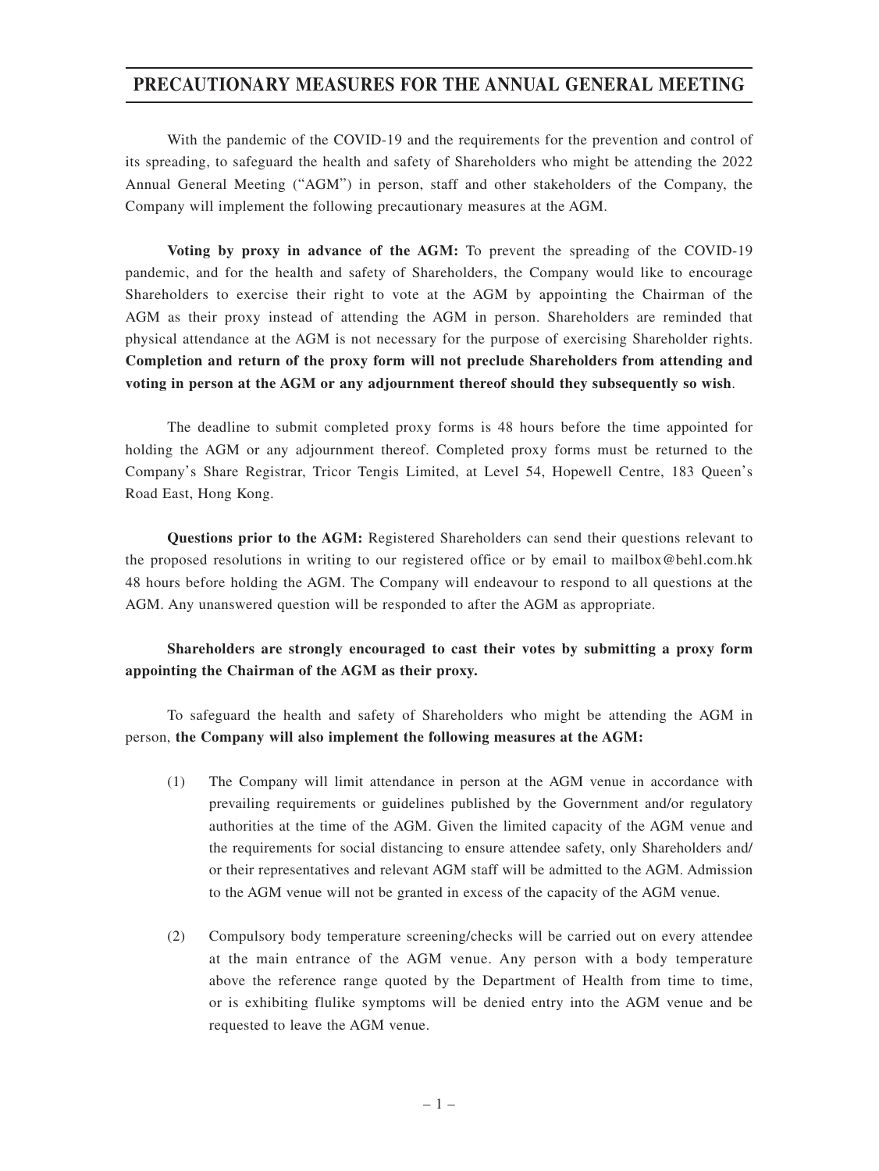## **PRECAUTIONARY MEASURES FOR THE ANNUAL GENERAL MEETING**

With the pandemic of the COVID-19 and the requirements for the prevention and control of its spreading, to safeguard the health and safety of Shareholders who might be attending the 2022 Annual General Meeting ("AGM") in person, staff and other stakeholders of the Company, the Company will implement the following precautionary measures at the AGM.

**Voting by proxy in advance of the AGM:** To prevent the spreading of the COVID-19 pandemic, and for the health and safety of Shareholders, the Company would like to encourage Shareholders to exercise their right to vote at the AGM by appointing the Chairman of the AGM as their proxy instead of attending the AGM in person. Shareholders are reminded that physical attendance at the AGM is not necessary for the purpose of exercising Shareholder rights. **Completion and return of the proxy form will not preclude Shareholders from attending and voting in person at the AGM or any adjournment thereof should they subsequently so wish**.

The deadline to submit completed proxy forms is 48 hours before the time appointed for holding the AGM or any adjournment thereof. Completed proxy forms must be returned to the Company's Share Registrar, Tricor Tengis Limited, at Level 54, Hopewell Centre, 183 Queen's Road East, Hong Kong.

**Questions prior to the AGM:** Registered Shareholders can send their questions relevant to the proposed resolutions in writing to our registered office or by email to mailbox@behl.com.hk 48 hours before holding the AGM. The Company will endeavour to respond to all questions at the AGM. Any unanswered question will be responded to after the AGM as appropriate.

## **Shareholders are strongly encouraged to cast their votes by submitting a proxy form appointing the Chairman of the AGM as their proxy.**

To safeguard the health and safety of Shareholders who might be attending the AGM in person, **the Company will also implement the following measures at the AGM:**

- (1) The Company will limit attendance in person at the AGM venue in accordance with prevailing requirements or guidelines published by the Government and/or regulatory authorities at the time of the AGM. Given the limited capacity of the AGM venue and the requirements for social distancing to ensure attendee safety, only Shareholders and/ or their representatives and relevant AGM staff will be admitted to the AGM. Admission to the AGM venue will not be granted in excess of the capacity of the AGM venue.
- (2) Compulsory body temperature screening/checks will be carried out on every attendee at the main entrance of the AGM venue. Any person with a body temperature above the reference range quoted by the Department of Health from time to time, or is exhibiting flulike symptoms will be denied entry into the AGM venue and be requested to leave the AGM venue.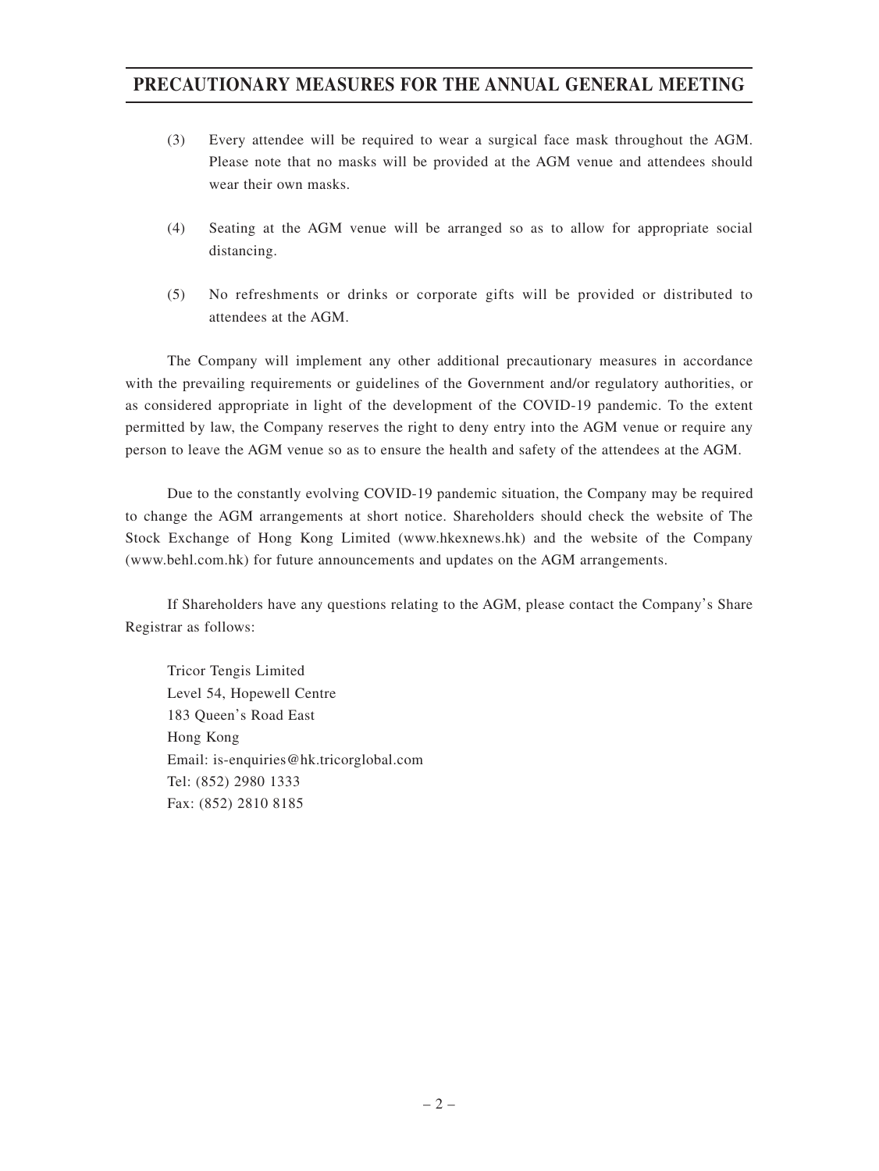# **PRECAUTIONARY MEASURES FOR THE ANNUAL GENERAL MEETING**

- (3) Every attendee will be required to wear a surgical face mask throughout the AGM. Please note that no masks will be provided at the AGM venue and attendees should wear their own masks.
- (4) Seating at the AGM venue will be arranged so as to allow for appropriate social distancing.
- (5) No refreshments or drinks or corporate gifts will be provided or distributed to attendees at the AGM.

The Company will implement any other additional precautionary measures in accordance with the prevailing requirements or guidelines of the Government and/or regulatory authorities, or as considered appropriate in light of the development of the COVID-19 pandemic. To the extent permitted by law, the Company reserves the right to deny entry into the AGM venue or require any person to leave the AGM venue so as to ensure the health and safety of the attendees at the AGM.

Due to the constantly evolving COVID-19 pandemic situation, the Company may be required to change the AGM arrangements at short notice. Shareholders should check the website of The Stock Exchange of Hong Kong Limited (www.hkexnews.hk) and the website of the Company (www.behl.com.hk) for future announcements and updates on the AGM arrangements.

If Shareholders have any questions relating to the AGM, please contact the Company's Share Registrar as follows:

Tricor Tengis Limited Level 54, Hopewell Centre 183 Queen's Road East Hong Kong Email: is-enquiries@hk.tricorglobal.com Tel: (852) 2980 1333 Fax: (852) 2810 8185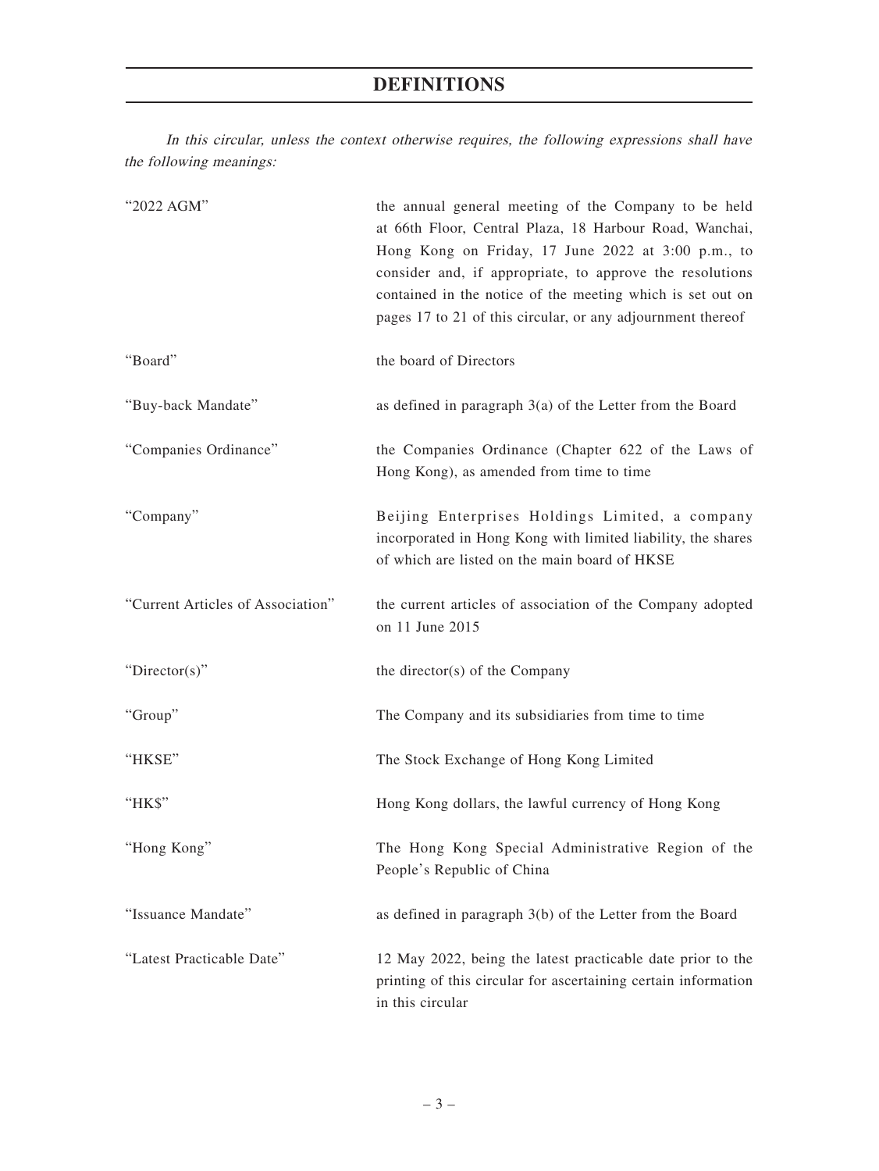# **DEFINITIONS**

In this circular, unless the context otherwise requires, the following expressions shall have the following meanings:

| "2022 AGM"                        | the annual general meeting of the Company to be held<br>at 66th Floor, Central Plaza, 18 Harbour Road, Wanchai,<br>Hong Kong on Friday, 17 June 2022 at 3:00 p.m., to<br>consider and, if appropriate, to approve the resolutions<br>contained in the notice of the meeting which is set out on<br>pages 17 to 21 of this circular, or any adjournment thereof |
|-----------------------------------|----------------------------------------------------------------------------------------------------------------------------------------------------------------------------------------------------------------------------------------------------------------------------------------------------------------------------------------------------------------|
| "Board"                           | the board of Directors                                                                                                                                                                                                                                                                                                                                         |
| "Buy-back Mandate"                | as defined in paragraph $3(a)$ of the Letter from the Board                                                                                                                                                                                                                                                                                                    |
| "Companies Ordinance"             | the Companies Ordinance (Chapter 622 of the Laws of<br>Hong Kong), as amended from time to time                                                                                                                                                                                                                                                                |
| "Company"                         | Beijing Enterprises Holdings Limited, a company<br>incorporated in Hong Kong with limited liability, the shares<br>of which are listed on the main board of HKSE                                                                                                                                                                                               |
| "Current Articles of Association" | the current articles of association of the Company adopted<br>on 11 June 2015                                                                                                                                                                                                                                                                                  |
| "Director(s)"                     | the director(s) of the Company                                                                                                                                                                                                                                                                                                                                 |
| "Group"                           | The Company and its subsidiaries from time to time                                                                                                                                                                                                                                                                                                             |
| "HKSE"                            | The Stock Exchange of Hong Kong Limited                                                                                                                                                                                                                                                                                                                        |
| "HK\$"                            | Hong Kong dollars, the lawful currency of Hong Kong                                                                                                                                                                                                                                                                                                            |
| "Hong Kong"                       | The Hong Kong Special Administrative Region of the<br>People's Republic of China                                                                                                                                                                                                                                                                               |
| "Issuance Mandate"                | as defined in paragraph 3(b) of the Letter from the Board                                                                                                                                                                                                                                                                                                      |
| "Latest Practicable Date"         | 12 May 2022, being the latest practicable date prior to the<br>printing of this circular for ascertaining certain information<br>in this circular                                                                                                                                                                                                              |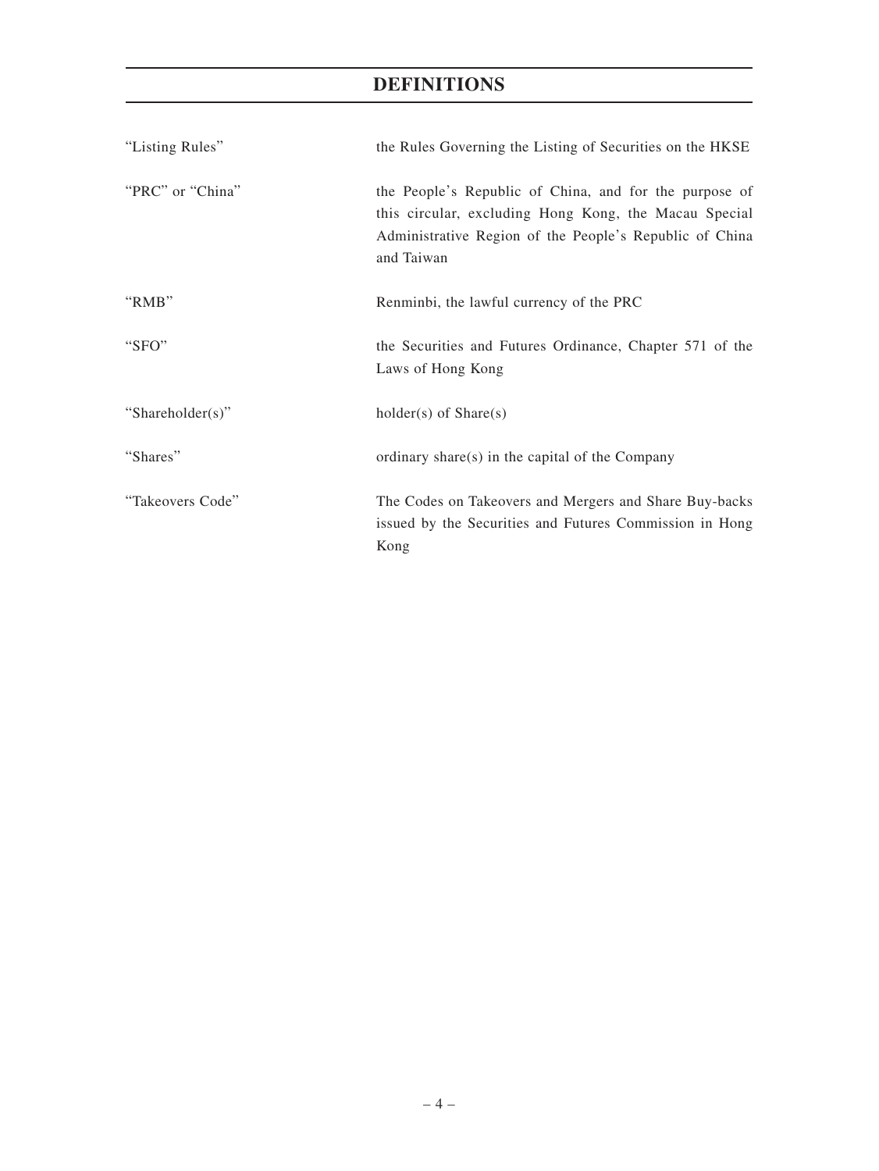# **DEFINITIONS**

| "Listing Rules"  | the Rules Governing the Listing of Securities on the HKSE                                                                                                                                |
|------------------|------------------------------------------------------------------------------------------------------------------------------------------------------------------------------------------|
| "PRC" or "China" | the People's Republic of China, and for the purpose of<br>this circular, excluding Hong Kong, the Macau Special<br>Administrative Region of the People's Republic of China<br>and Taiwan |
| "RMB"            | Renminbi, the lawful currency of the PRC                                                                                                                                                 |
| "SFO"            | the Securities and Futures Ordinance, Chapter 571 of the<br>Laws of Hong Kong                                                                                                            |
| "Shareholder(s)" | $holder(s)$ of $Share(s)$                                                                                                                                                                |
| "Shares"         | ordinary share(s) in the capital of the Company                                                                                                                                          |
| "Takeovers Code" | The Codes on Takeovers and Mergers and Share Buy-backs<br>issued by the Securities and Futures Commission in Hong<br>Kong                                                                |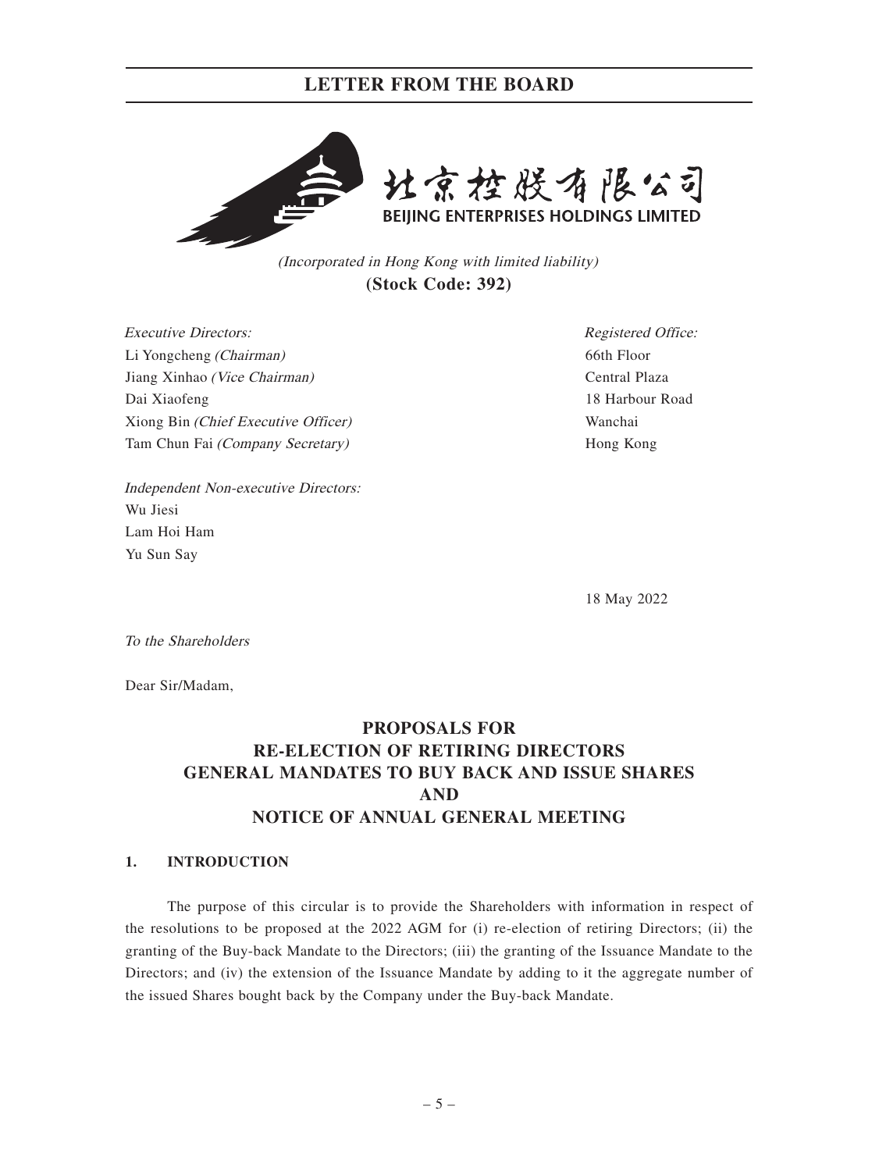## **LETTER FROM THE BOARD**



(Incorporated in Hong Kong with limited liability) **(Stock Code: 392)**

Executive Directors: Li Yongcheng (Chairman) Jiang Xinhao (Vice Chairman) Dai Xiaofeng Xiong Bin (Chief Executive Officer) Tam Chun Fai (Company Secretary)

Registered Office: 66th Floor Central Plaza 18 Harbour Road Wanchai Hong Kong

Independent Non-executive Directors: Wu Jiesi Lam Hoi Ham Yu Sun Say

18 May 2022

To the Shareholders

Dear Sir/Madam,

# **PROPOSALS FOR RE-ELECTION OF RETIRING DIRECTORS GENERAL MANDATES TO BUY BACK AND ISSUE SHARES AND NOTICE OF ANNUAL GENERAL MEETING**

## **1. INTRODUCTION**

The purpose of this circular is to provide the Shareholders with information in respect of the resolutions to be proposed at the 2022 AGM for (i) re-election of retiring Directors; (ii) the granting of the Buy-back Mandate to the Directors; (iii) the granting of the Issuance Mandate to the Directors; and (iv) the extension of the Issuance Mandate by adding to it the aggregate number of the issued Shares bought back by the Company under the Buy-back Mandate.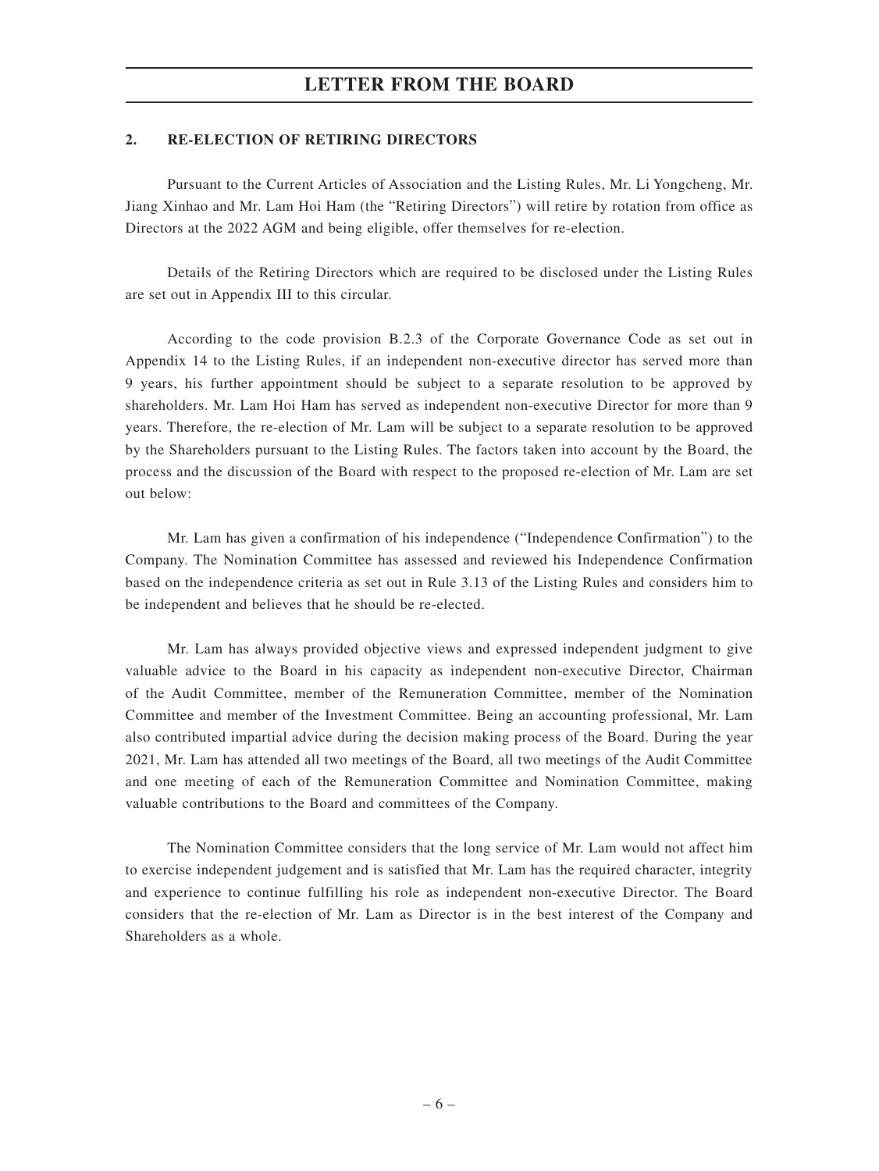## **LETTER FROM THE BOARD**

### **2. RE-ELECTION OF RETIRING DIRECTORS**

Pursuant to the Current Articles of Association and the Listing Rules, Mr. Li Yongcheng, Mr. Jiang Xinhao and Mr. Lam Hoi Ham (the "Retiring Directors") will retire by rotation from office as Directors at the 2022 AGM and being eligible, offer themselves for re-election.

Details of the Retiring Directors which are required to be disclosed under the Listing Rules are set out in Appendix III to this circular.

According to the code provision B.2.3 of the Corporate Governance Code as set out in Appendix 14 to the Listing Rules, if an independent non-executive director has served more than 9 years, his further appointment should be subject to a separate resolution to be approved by shareholders. Mr. Lam Hoi Ham has served as independent non-executive Director for more than 9 years. Therefore, the re-election of Mr. Lam will be subject to a separate resolution to be approved by the Shareholders pursuant to the Listing Rules. The factors taken into account by the Board, the process and the discussion of the Board with respect to the proposed re-election of Mr. Lam are set out below:

Mr. Lam has given a confirmation of his independence ("Independence Confirmation") to the Company. The Nomination Committee has assessed and reviewed his Independence Confirmation based on the independence criteria as set out in Rule 3.13 of the Listing Rules and considers him to be independent and believes that he should be re-elected.

Mr. Lam has always provided objective views and expressed independent judgment to give valuable advice to the Board in his capacity as independent non-executive Director, Chairman of the Audit Committee, member of the Remuneration Committee, member of the Nomination Committee and member of the Investment Committee. Being an accounting professional, Mr. Lam also contributed impartial advice during the decision making process of the Board. During the year 2021, Mr. Lam has attended all two meetings of the Board, all two meetings of the Audit Committee and one meeting of each of the Remuneration Committee and Nomination Committee, making valuable contributions to the Board and committees of the Company.

The Nomination Committee considers that the long service of Mr. Lam would not affect him to exercise independent judgement and is satisfied that Mr. Lam has the required character, integrity and experience to continue fulfilling his role as independent non-executive Director. The Board considers that the re-election of Mr. Lam as Director is in the best interest of the Company and Shareholders as a whole.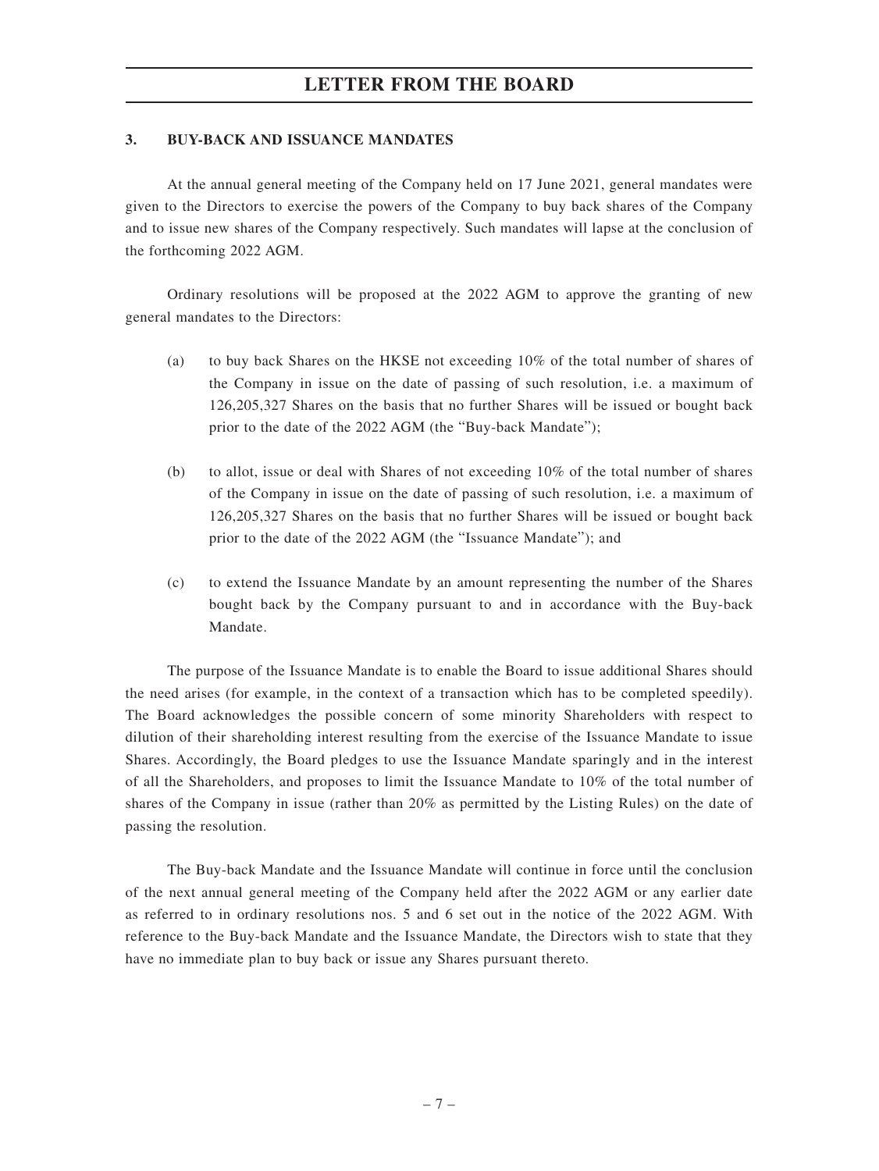## **3. BUY-BACK AND ISSUANCE MANDATES**

At the annual general meeting of the Company held on 17 June 2021, general mandates were given to the Directors to exercise the powers of the Company to buy back shares of the Company and to issue new shares of the Company respectively. Such mandates will lapse at the conclusion of the forthcoming 2022 AGM.

Ordinary resolutions will be proposed at the 2022 AGM to approve the granting of new general mandates to the Directors:

- (a) to buy back Shares on the HKSE not exceeding 10% of the total number of shares of the Company in issue on the date of passing of such resolution, i.e. a maximum of 126,205,327 Shares on the basis that no further Shares will be issued or bought back prior to the date of the 2022 AGM (the "Buy-back Mandate");
- (b) to allot, issue or deal with Shares of not exceeding 10% of the total number of shares of the Company in issue on the date of passing of such resolution, i.e. a maximum of 126,205,327 Shares on the basis that no further Shares will be issued or bought back prior to the date of the 2022 AGM (the "Issuance Mandate"); and
- (c) to extend the Issuance Mandate by an amount representing the number of the Shares bought back by the Company pursuant to and in accordance with the Buy-back Mandate.

The purpose of the Issuance Mandate is to enable the Board to issue additional Shares should the need arises (for example, in the context of a transaction which has to be completed speedily). The Board acknowledges the possible concern of some minority Shareholders with respect to dilution of their shareholding interest resulting from the exercise of the Issuance Mandate to issue Shares. Accordingly, the Board pledges to use the Issuance Mandate sparingly and in the interest of all the Shareholders, and proposes to limit the Issuance Mandate to 10% of the total number of shares of the Company in issue (rather than 20% as permitted by the Listing Rules) on the date of passing the resolution.

The Buy-back Mandate and the Issuance Mandate will continue in force until the conclusion of the next annual general meeting of the Company held after the 2022 AGM or any earlier date as referred to in ordinary resolutions nos. 5 and 6 set out in the notice of the 2022 AGM. With reference to the Buy-back Mandate and the Issuance Mandate, the Directors wish to state that they have no immediate plan to buy back or issue any Shares pursuant thereto.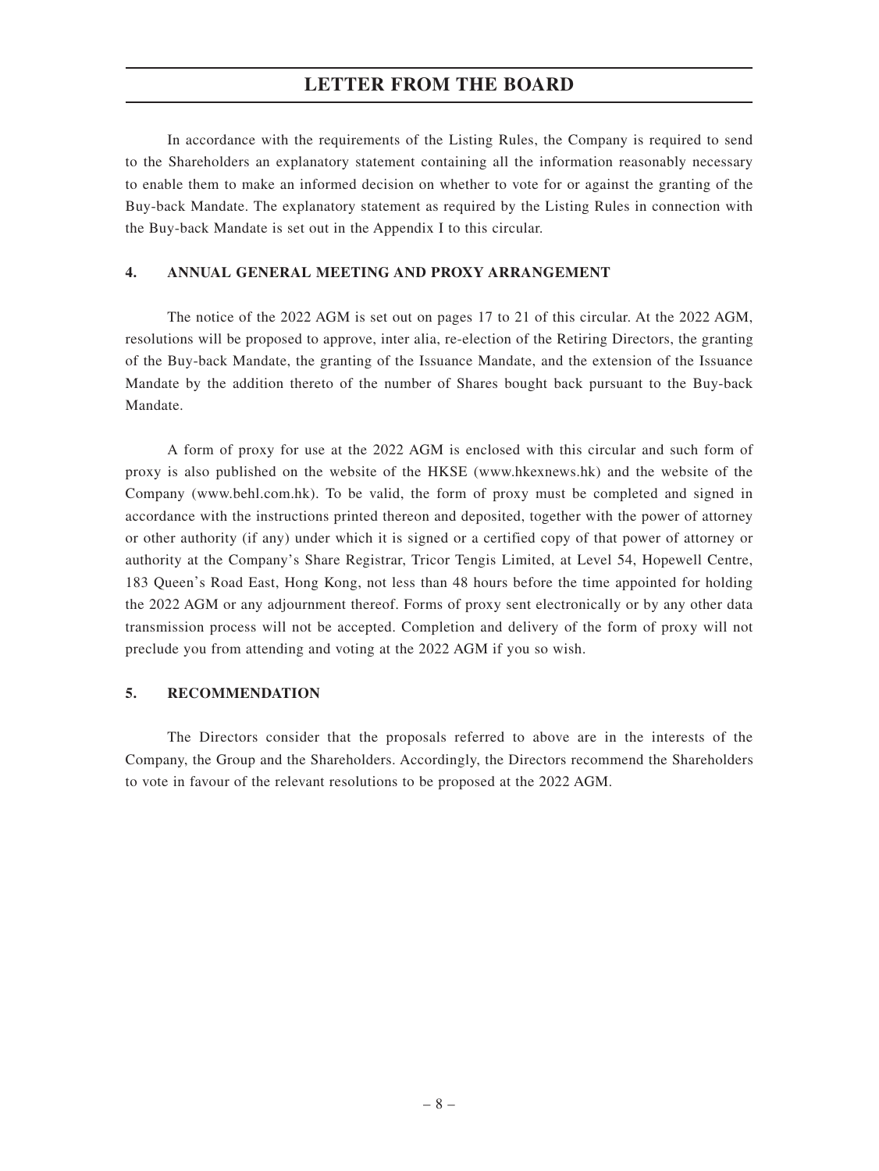## **LETTER FROM THE BOARD**

In accordance with the requirements of the Listing Rules, the Company is required to send to the Shareholders an explanatory statement containing all the information reasonably necessary to enable them to make an informed decision on whether to vote for or against the granting of the Buy-back Mandate. The explanatory statement as required by the Listing Rules in connection with the Buy-back Mandate is set out in the Appendix I to this circular.

### **4. ANNUAL GENERAL MEETING AND PROXY ARRANGEMENT**

The notice of the 2022 AGM is set out on pages 17 to 21 of this circular. At the 2022 AGM, resolutions will be proposed to approve, inter alia, re-election of the Retiring Directors, the granting of the Buy-back Mandate, the granting of the Issuance Mandate, and the extension of the Issuance Mandate by the addition thereto of the number of Shares bought back pursuant to the Buy-back Mandate.

A form of proxy for use at the 2022 AGM is enclosed with this circular and such form of proxy is also published on the website of the HKSE (www.hkexnews.hk) and the website of the Company (www.behl.com.hk). To be valid, the form of proxy must be completed and signed in accordance with the instructions printed thereon and deposited, together with the power of attorney or other authority (if any) under which it is signed or a certified copy of that power of attorney or authority at the Company's Share Registrar, Tricor Tengis Limited, at Level 54, Hopewell Centre, 183 Queen's Road East, Hong Kong, not less than 48 hours before the time appointed for holding the 2022 AGM or any adjournment thereof. Forms of proxy sent electronically or by any other data transmission process will not be accepted. Completion and delivery of the form of proxy will not preclude you from attending and voting at the 2022 AGM if you so wish.

### **5. RECOMMENDATION**

The Directors consider that the proposals referred to above are in the interests of the Company, the Group and the Shareholders. Accordingly, the Directors recommend the Shareholders to vote in favour of the relevant resolutions to be proposed at the 2022 AGM.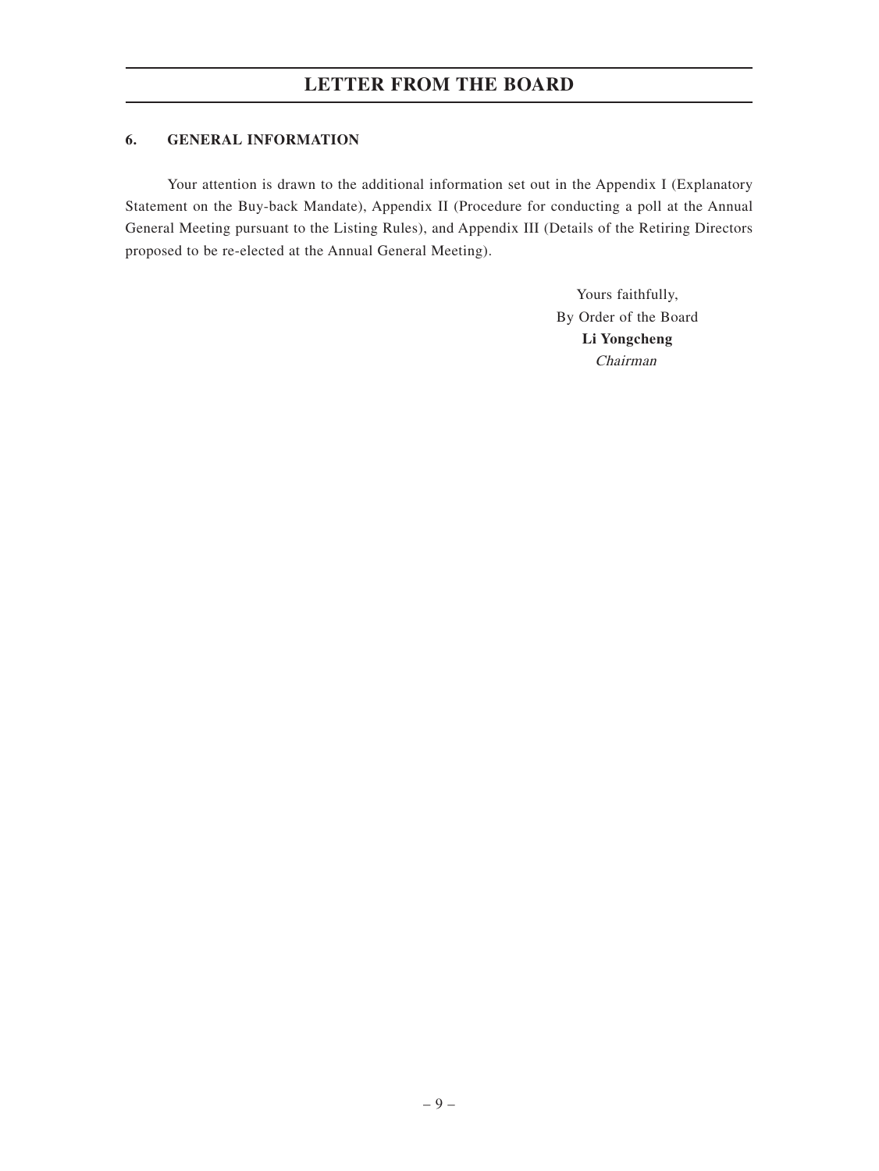## **6. GENERAL INFORMATION**

Your attention is drawn to the additional information set out in the Appendix I (Explanatory Statement on the Buy-back Mandate), Appendix II (Procedure for conducting a poll at the Annual General Meeting pursuant to the Listing Rules), and Appendix III (Details of the Retiring Directors proposed to be re-elected at the Annual General Meeting).

> Yours faithfully, By Order of the Board **Li Yongcheng** Chairman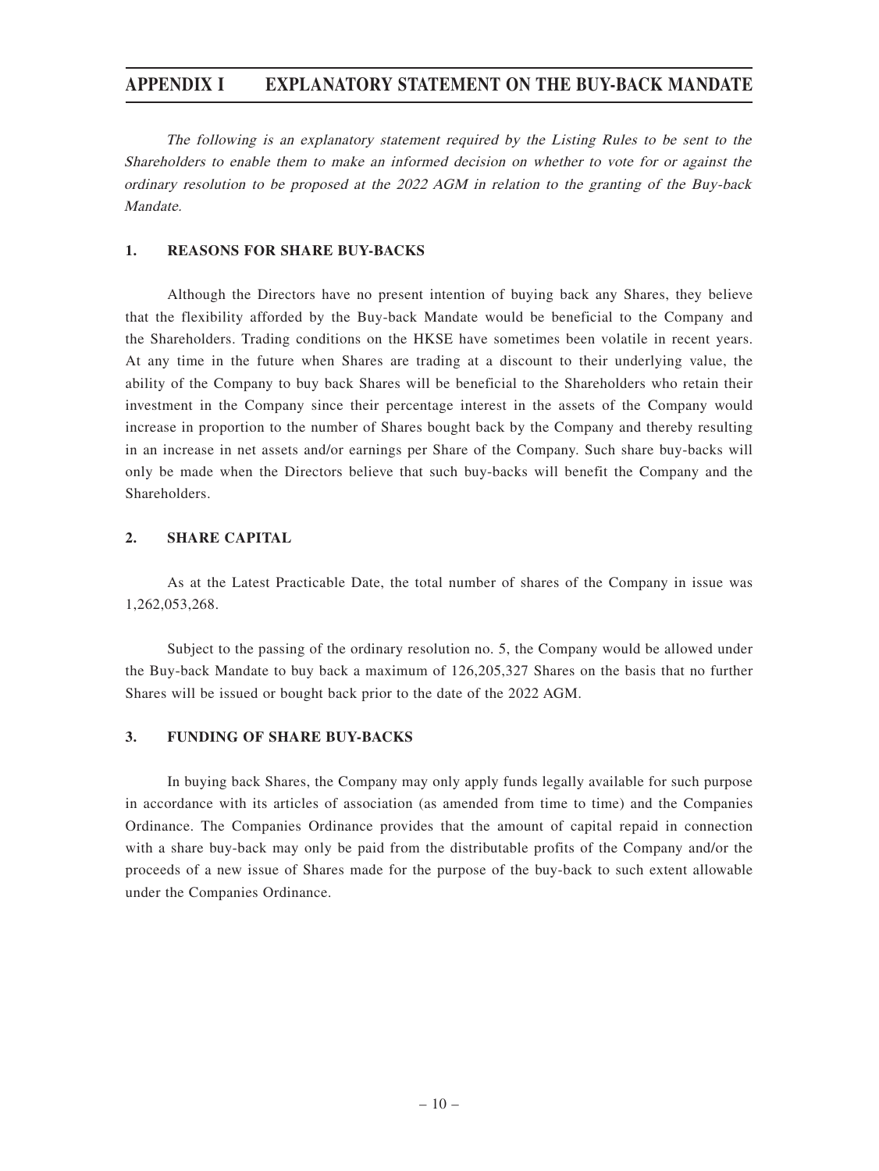## **APPENDIX I EXPLANATORY STATEMENT ON THE BUY-BACK MANDATE**

The following is an explanatory statement required by the Listing Rules to be sent to the Shareholders to enable them to make an informed decision on whether to vote for or against the ordinary resolution to be proposed at the 2022 AGM in relation to the granting of the Buy-back Mandate.

### **1. REASONS FOR SHARE BUY-BACKS**

Although the Directors have no present intention of buying back any Shares, they believe that the flexibility afforded by the Buy-back Mandate would be beneficial to the Company and the Shareholders. Trading conditions on the HKSE have sometimes been volatile in recent years. At any time in the future when Shares are trading at a discount to their underlying value, the ability of the Company to buy back Shares will be beneficial to the Shareholders who retain their investment in the Company since their percentage interest in the assets of the Company would increase in proportion to the number of Shares bought back by the Company and thereby resulting in an increase in net assets and/or earnings per Share of the Company. Such share buy-backs will only be made when the Directors believe that such buy-backs will benefit the Company and the **Shareholders** 

## **2. SHARE CAPITAL**

As at the Latest Practicable Date, the total number of shares of the Company in issue was 1,262,053,268.

Subject to the passing of the ordinary resolution no. 5, the Company would be allowed under the Buy-back Mandate to buy back a maximum of 126,205,327 Shares on the basis that no further Shares will be issued or bought back prior to the date of the 2022 AGM.

## **3. FUNDING OF SHARE BUY-BACKS**

In buying back Shares, the Company may only apply funds legally available for such purpose in accordance with its articles of association (as amended from time to time) and the Companies Ordinance. The Companies Ordinance provides that the amount of capital repaid in connection with a share buy-back may only be paid from the distributable profits of the Company and/or the proceeds of a new issue of Shares made for the purpose of the buy-back to such extent allowable under the Companies Ordinance.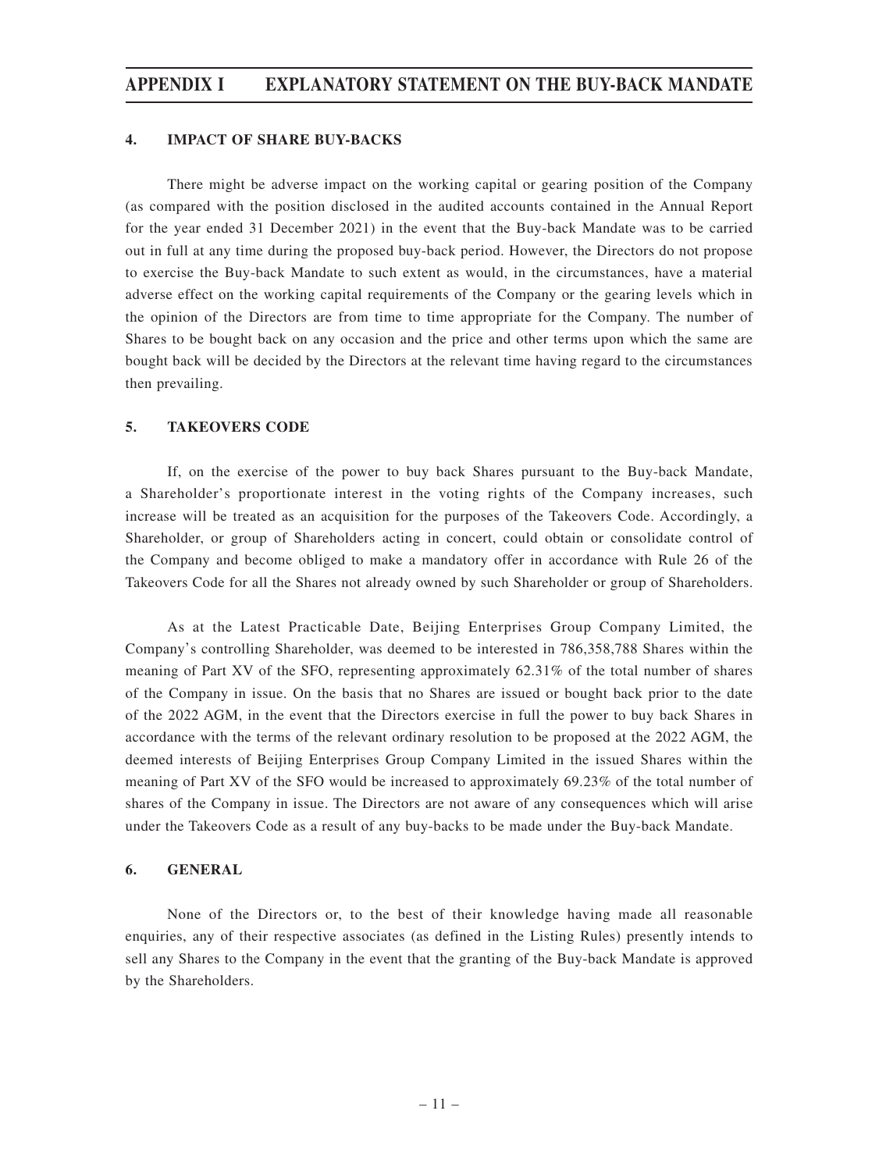## **APPENDIX I EXPLANATORY STATEMENT ON THE BUY-BACK MANDATE**

#### **4. IMPACT OF SHARE BUY-BACKS**

There might be adverse impact on the working capital or gearing position of the Company (as compared with the position disclosed in the audited accounts contained in the Annual Report for the year ended 31 December 2021) in the event that the Buy-back Mandate was to be carried out in full at any time during the proposed buy-back period. However, the Directors do not propose to exercise the Buy-back Mandate to such extent as would, in the circumstances, have a material adverse effect on the working capital requirements of the Company or the gearing levels which in the opinion of the Directors are from time to time appropriate for the Company. The number of Shares to be bought back on any occasion and the price and other terms upon which the same are bought back will be decided by the Directors at the relevant time having regard to the circumstances then prevailing.

### **5. TAKEOVERS CODE**

If, on the exercise of the power to buy back Shares pursuant to the Buy-back Mandate, a Shareholder's proportionate interest in the voting rights of the Company increases, such increase will be treated as an acquisition for the purposes of the Takeovers Code. Accordingly, a Shareholder, or group of Shareholders acting in concert, could obtain or consolidate control of the Company and become obliged to make a mandatory offer in accordance with Rule 26 of the Takeovers Code for all the Shares not already owned by such Shareholder or group of Shareholders.

As at the Latest Practicable Date, Beijing Enterprises Group Company Limited, the Company's controlling Shareholder, was deemed to be interested in 786,358,788 Shares within the meaning of Part XV of the SFO, representing approximately 62.31% of the total number of shares of the Company in issue. On the basis that no Shares are issued or bought back prior to the date of the 2022 AGM, in the event that the Directors exercise in full the power to buy back Shares in accordance with the terms of the relevant ordinary resolution to be proposed at the 2022 AGM, the deemed interests of Beijing Enterprises Group Company Limited in the issued Shares within the meaning of Part XV of the SFO would be increased to approximately 69.23% of the total number of shares of the Company in issue. The Directors are not aware of any consequences which will arise under the Takeovers Code as a result of any buy-backs to be made under the Buy-back Mandate.

#### **6. GENERAL**

None of the Directors or, to the best of their knowledge having made all reasonable enquiries, any of their respective associates (as defined in the Listing Rules) presently intends to sell any Shares to the Company in the event that the granting of the Buy-back Mandate is approved by the Shareholders.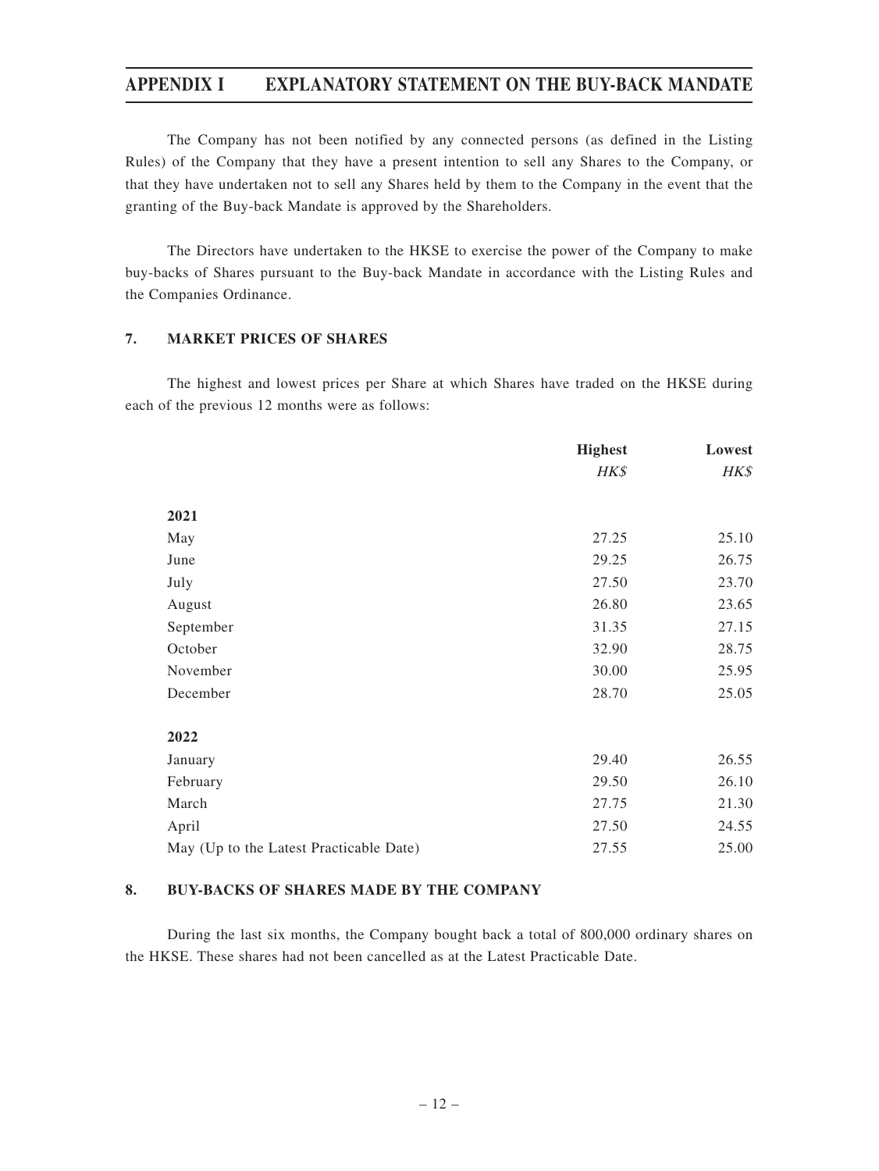## **APPENDIX I EXPLANATORY STATEMENT ON THE BUY-BACK MANDATE**

The Company has not been notified by any connected persons (as defined in the Listing Rules) of the Company that they have a present intention to sell any Shares to the Company, or that they have undertaken not to sell any Shares held by them to the Company in the event that the granting of the Buy-back Mandate is approved by the Shareholders.

The Directors have undertaken to the HKSE to exercise the power of the Company to make buy-backs of Shares pursuant to the Buy-back Mandate in accordance with the Listing Rules and the Companies Ordinance.

## **7. MARKET PRICES OF SHARES**

The highest and lowest prices per Share at which Shares have traded on the HKSE during each of the previous 12 months were as follows:

|                                         | <b>Highest</b> | Lowest |
|-----------------------------------------|----------------|--------|
|                                         | HK\$           | HK\$   |
| 2021                                    |                |        |
| May                                     | 27.25          | 25.10  |
| June                                    | 29.25          | 26.75  |
| July                                    | 27.50          | 23.70  |
| August                                  | 26.80          | 23.65  |
| September                               | 31.35          | 27.15  |
| October                                 | 32.90          | 28.75  |
| November                                | 30.00          | 25.95  |
| December                                | 28.70          | 25.05  |
|                                         |                |        |
| 2022                                    |                |        |
| January                                 | 29.40          | 26.55  |
| February                                | 29.50          | 26.10  |
| March                                   | 27.75          | 21.30  |
| April                                   | 27.50          | 24.55  |
| May (Up to the Latest Practicable Date) | 27.55          | 25.00  |

## **8. BUY-BACKS OF SHARES MADE BY THE COMPANY**

During the last six months, the Company bought back a total of 800,000 ordinary shares on the HKSE. These shares had not been cancelled as at the Latest Practicable Date.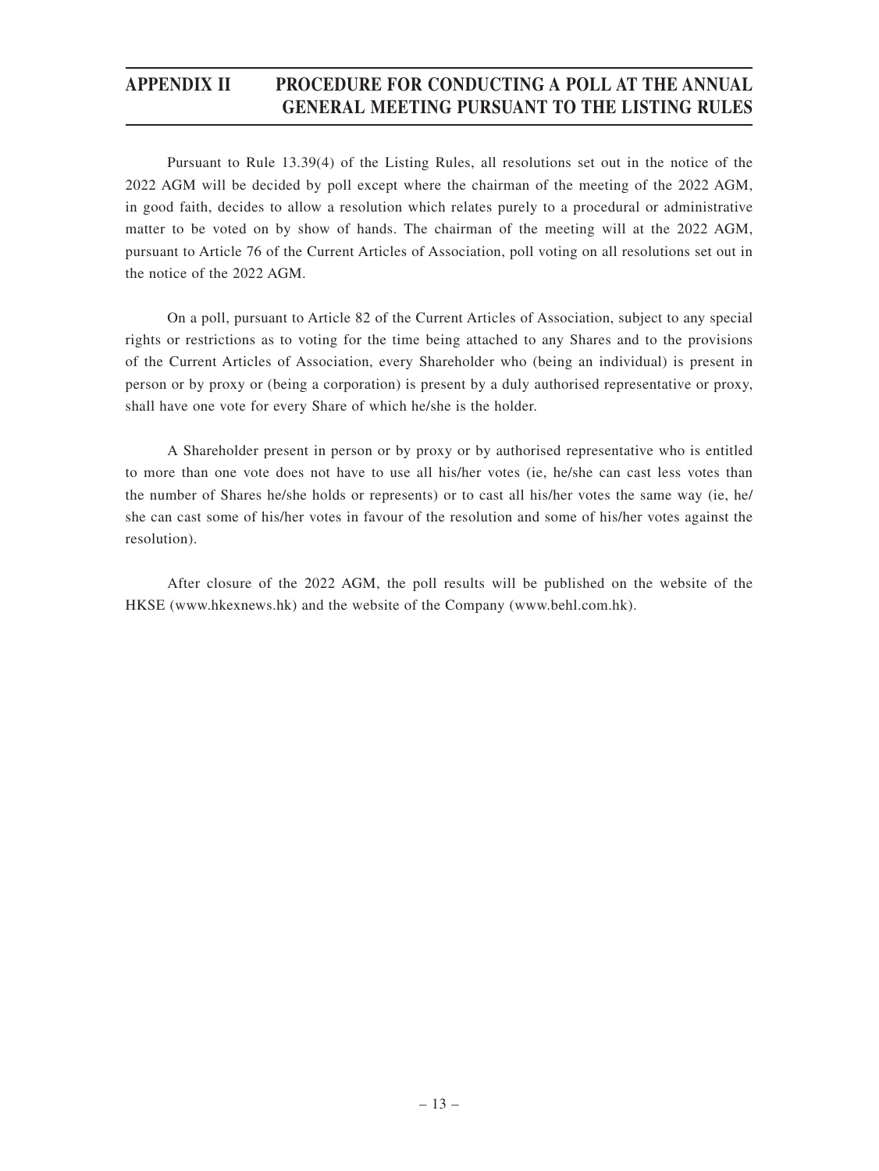# **APPENDIX II PROCEDURE FOR CONDUCTING A POLL AT THE ANNUAL GENERAL MEETING PURSUANT TO THE LISTING RULES**

Pursuant to Rule 13.39(4) of the Listing Rules, all resolutions set out in the notice of the 2022 AGM will be decided by poll except where the chairman of the meeting of the 2022 AGM, in good faith, decides to allow a resolution which relates purely to a procedural or administrative matter to be voted on by show of hands. The chairman of the meeting will at the 2022 AGM, pursuant to Article 76 of the Current Articles of Association, poll voting on all resolutions set out in the notice of the 2022 AGM.

On a poll, pursuant to Article 82 of the Current Articles of Association, subject to any special rights or restrictions as to voting for the time being attached to any Shares and to the provisions of the Current Articles of Association, every Shareholder who (being an individual) is present in person or by proxy or (being a corporation) is present by a duly authorised representative or proxy, shall have one vote for every Share of which he/she is the holder.

A Shareholder present in person or by proxy or by authorised representative who is entitled to more than one vote does not have to use all his/her votes (ie, he/she can cast less votes than the number of Shares he/she holds or represents) or to cast all his/her votes the same way (ie, he/ she can cast some of his/her votes in favour of the resolution and some of his/her votes against the resolution).

After closure of the 2022 AGM, the poll results will be published on the website of the HKSE (www.hkexnews.hk) and the website of the Company (www.behl.com.hk).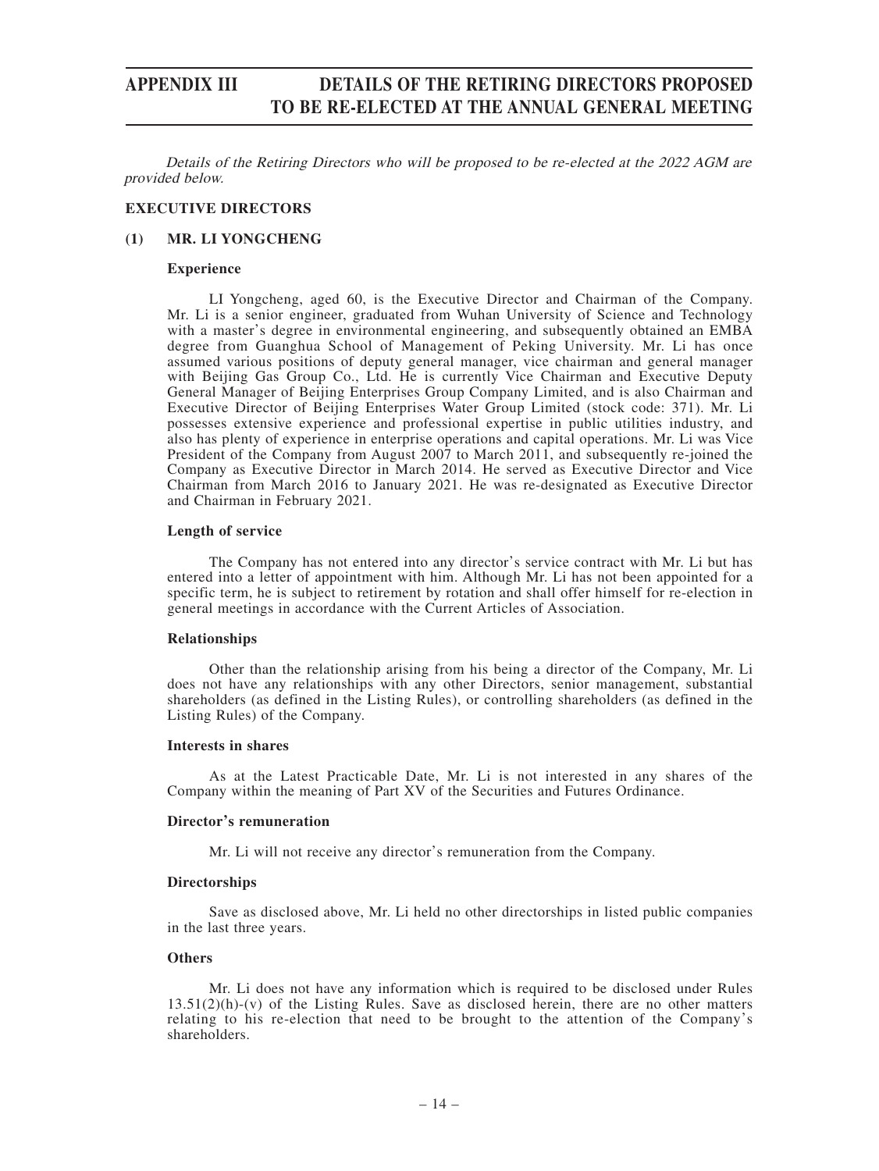# **APPENDIX III DETAILS OF THE RETIRING DIRECTORS PROPOSED TO BE RE-ELECTED AT THE ANNUAL GENERAL MEETING**

Details of the Retiring Directors who will be proposed to be re-elected at the 2022 AGM are provided below.

### **EXECUTIVE DIRECTORS**

#### **(1) MR. LI YONGCHENG**

#### **Experience**

LI Yongcheng, aged 60, is the Executive Director and Chairman of the Company. Mr. Li is a senior engineer, graduated from Wuhan University of Science and Technology with a master's degree in environmental engineering, and subsequently obtained an EMBA degree from Guanghua School of Management of Peking University. Mr. Li has once assumed various positions of deputy general manager, vice chairman and general manager with Beijing Gas Group Co., Ltd. He is currently Vice Chairman and Executive Deputy General Manager of Beijing Enterprises Group Company Limited, and is also Chairman and Executive Director of Beijing Enterprises Water Group Limited (stock code: 371). Mr. Li possesses extensive experience and professional expertise in public utilities industry, and also has plenty of experience in enterprise operations and capital operations. Mr. Li was Vice President of the Company from August 2007 to March 2011, and subsequently re-joined the Company as Executive Director in March 2014. He served as Executive Director and Vice Chairman from March 2016 to January 2021. He was re-designated as Executive Director and Chairman in February 2021.

### **Length of service**

The Company has not entered into any director's service contract with Mr. Li but has entered into a letter of appointment with him. Although Mr. Li has not been appointed for a specific term, he is subject to retirement by rotation and shall offer himself for re-election in general meetings in accordance with the Current Articles of Association.

#### **Relationships**

Other than the relationship arising from his being a director of the Company, Mr. Li does not have any relationships with any other Directors, senior management, substantial shareholders (as defined in the Listing Rules), or controlling shareholders (as defined in the Listing Rules) of the Company.

### **Interests in shares**

As at the Latest Practicable Date, Mr. Li is not interested in any shares of the Company within the meaning of Part XV of the Securities and Futures Ordinance.

#### **Director's remuneration**

Mr. Li will not receive any director's remuneration from the Company.

#### **Directorships**

Save as disclosed above, Mr. Li held no other directorships in listed public companies in the last three years.

#### **Others**

Mr. Li does not have any information which is required to be disclosed under Rules  $13.51(2)(h)-(v)$  of the Listing Rules. Save as disclosed herein, there are no other matters relating to his re-election that need to be brought to the attention of the Company's shareholders.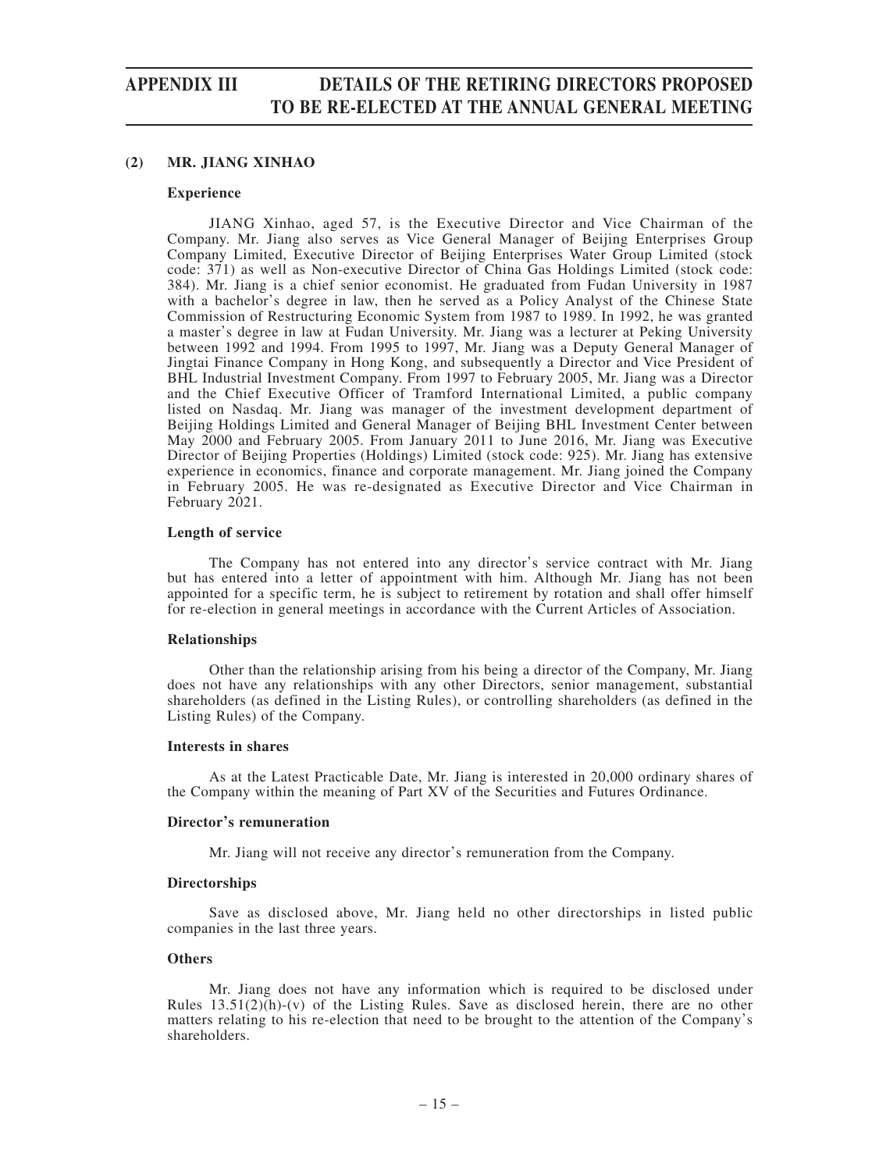# **APPENDIX III DETAILS OF THE RETIRING DIRECTORS PROPOSED TO BE RE-ELECTED AT THE ANNUAL GENERAL MEETING**

### **(2) MR. JIANG XINHAO**

#### **Experience**

JIANG Xinhao, aged 57, is the Executive Director and Vice Chairman of the Company. Mr. Jiang also serves as Vice General Manager of Beijing Enterprises Group Company Limited, Executive Director of Beijing Enterprises Water Group Limited (stock code: 371) as well as Non-executive Director of China Gas Holdings Limited (stock code: 384). Mr. Jiang is a chief senior economist. He graduated from Fudan University in 1987 with a bachelor's degree in law, then he served as a Policy Analyst of the Chinese State Commission of Restructuring Economic System from 1987 to 1989. In 1992, he was granted a master's degree in law at Fudan University. Mr. Jiang was a lecturer at Peking University between 1992 and 1994. From 1995 to 1997, Mr. Jiang was a Deputy General Manager of Jingtai Finance Company in Hong Kong, and subsequently a Director and Vice President of BHL Industrial Investment Company. From 1997 to February 2005, Mr. Jiang was a Director and the Chief Executive Officer of Tramford International Limited, a public company listed on Nasdaq. Mr. Jiang was manager of the investment development department of Beijing Holdings Limited and General Manager of Beijing BHL Investment Center between May 2000 and February 2005. From January 2011 to June 2016, Mr. Jiang was Executive Director of Beijing Properties (Holdings) Limited (stock code: 925). Mr. Jiang has extensive experience in economics, finance and corporate management. Mr. Jiang joined the Company in February 2005. He was re-designated as Executive Director and Vice Chairman in February 2021.

#### **Length of service**

The Company has not entered into any director's service contract with Mr. Jiang but has entered into a letter of appointment with him. Although Mr. Jiang has not been appointed for a specific term, he is subject to retirement by rotation and shall offer himself for re-election in general meetings in accordance with the Current Articles of Association.

#### **Relationships**

Other than the relationship arising from his being a director of the Company, Mr. Jiang does not have any relationships with any other Directors, senior management, substantial shareholders (as defined in the Listing Rules), or controlling shareholders (as defined in the Listing Rules) of the Company.

#### **Interests in shares**

As at the Latest Practicable Date, Mr. Jiang is interested in 20,000 ordinary shares of the Company within the meaning of Part XV of the Securities and Futures Ordinance.

#### **Director's remuneration**

Mr. Jiang will not receive any director's remuneration from the Company.

#### **Directorships**

Save as disclosed above, Mr. Jiang held no other directorships in listed public companies in the last three years.

#### **Others**

Mr. Jiang does not have any information which is required to be disclosed under Rules  $13.51(2)(h)-(v)$  of the Listing Rules. Save as disclosed herein, there are no other matters relating to his re-election that need to be brought to the attention of the Company's shareholders.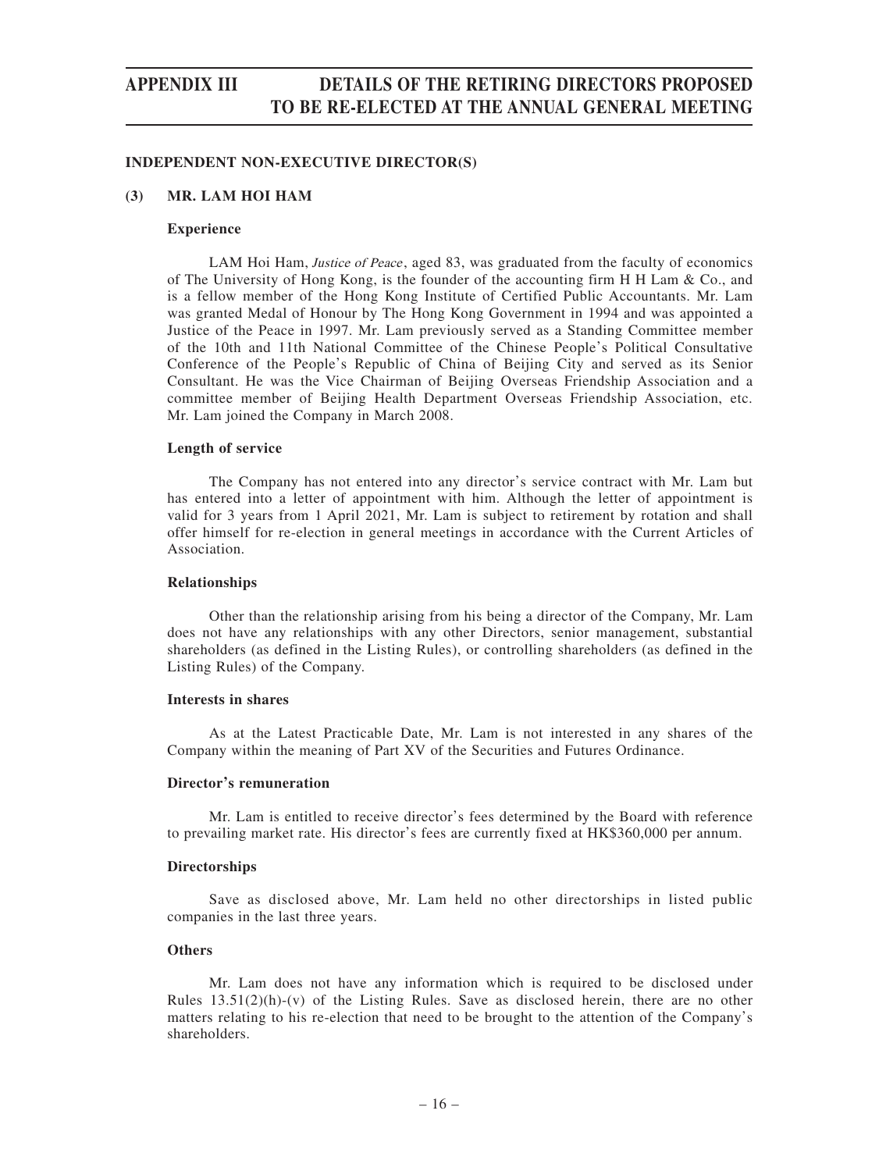# **APPENDIX III DETAILS OF THE RETIRING DIRECTORS PROPOSED TO BE RE-ELECTED AT THE ANNUAL GENERAL MEETING**

#### **INDEPENDENT NON-EXECUTIVE DIRECTOR(S)**

#### **(3) MR. LAM HOI HAM**

#### **Experience**

LAM Hoi Ham, Justice of Peace, aged 83, was graduated from the faculty of economics of The University of Hong Kong, is the founder of the accounting firm H H Lam & Co., and is a fellow member of the Hong Kong Institute of Certified Public Accountants. Mr. Lam was granted Medal of Honour by The Hong Kong Government in 1994 and was appointed a Justice of the Peace in 1997. Mr. Lam previously served as a Standing Committee member of the 10th and 11th National Committee of the Chinese People's Political Consultative Conference of the People's Republic of China of Beijing City and served as its Senior Consultant. He was the Vice Chairman of Beijing Overseas Friendship Association and a committee member of Beijing Health Department Overseas Friendship Association, etc. Mr. Lam joined the Company in March 2008.

#### **Length of service**

The Company has not entered into any director's service contract with Mr. Lam but has entered into a letter of appointment with him. Although the letter of appointment is valid for 3 years from 1 April 2021, Mr. Lam is subject to retirement by rotation and shall offer himself for re-election in general meetings in accordance with the Current Articles of Association.

#### **Relationships**

Other than the relationship arising from his being a director of the Company, Mr. Lam does not have any relationships with any other Directors, senior management, substantial shareholders (as defined in the Listing Rules), or controlling shareholders (as defined in the Listing Rules) of the Company.

### **Interests in shares**

As at the Latest Practicable Date, Mr. Lam is not interested in any shares of the Company within the meaning of Part XV of the Securities and Futures Ordinance.

#### **Director's remuneration**

Mr. Lam is entitled to receive director's fees determined by the Board with reference to prevailing market rate. His director's fees are currently fixed at HK\$360,000 per annum.

#### **Directorships**

Save as disclosed above, Mr. Lam held no other directorships in listed public companies in the last three years.

### **Others**

Mr. Lam does not have any information which is required to be disclosed under Rules  $13.51(2)(h)-(v)$  of the Listing Rules. Save as disclosed herein, there are no other matters relating to his re-election that need to be brought to the attention of the Company's shareholders.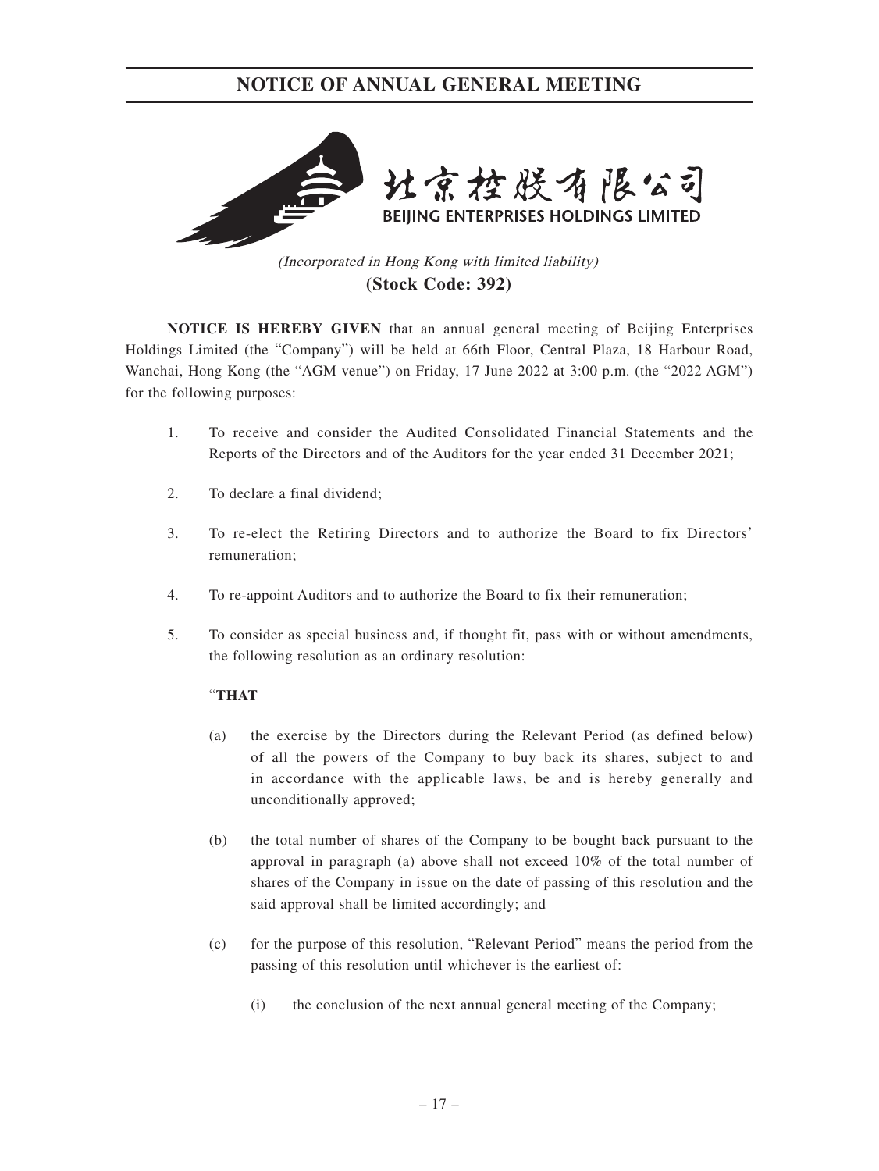

(Incorporated in Hong Kong with limited liability) **(Stock Code: 392)**

**NOTICE IS HEREBY GIVEN** that an annual general meeting of Beijing Enterprises Holdings Limited (the "Company") will be held at 66th Floor, Central Plaza, 18 Harbour Road, Wanchai, Hong Kong (the "AGM venue") on Friday, 17 June 2022 at 3:00 p.m. (the "2022 AGM") for the following purposes:

- 1. To receive and consider the Audited Consolidated Financial Statements and the Reports of the Directors and of the Auditors for the year ended 31 December 2021;
- 2. To declare a final dividend;
- 3. To re-elect the Retiring Directors and to authorize the Board to fix Directors' remuneration;
- 4. To re-appoint Auditors and to authorize the Board to fix their remuneration;
- 5. To consider as special business and, if thought fit, pass with or without amendments, the following resolution as an ordinary resolution:

## "**THAT**

- (a) the exercise by the Directors during the Relevant Period (as defined below) of all the powers of the Company to buy back its shares, subject to and in accordance with the applicable laws, be and is hereby generally and unconditionally approved;
- (b) the total number of shares of the Company to be bought back pursuant to the approval in paragraph (a) above shall not exceed 10% of the total number of shares of the Company in issue on the date of passing of this resolution and the said approval shall be limited accordingly; and
- (c) for the purpose of this resolution, "Relevant Period" means the period from the passing of this resolution until whichever is the earliest of:
	- (i) the conclusion of the next annual general meeting of the Company;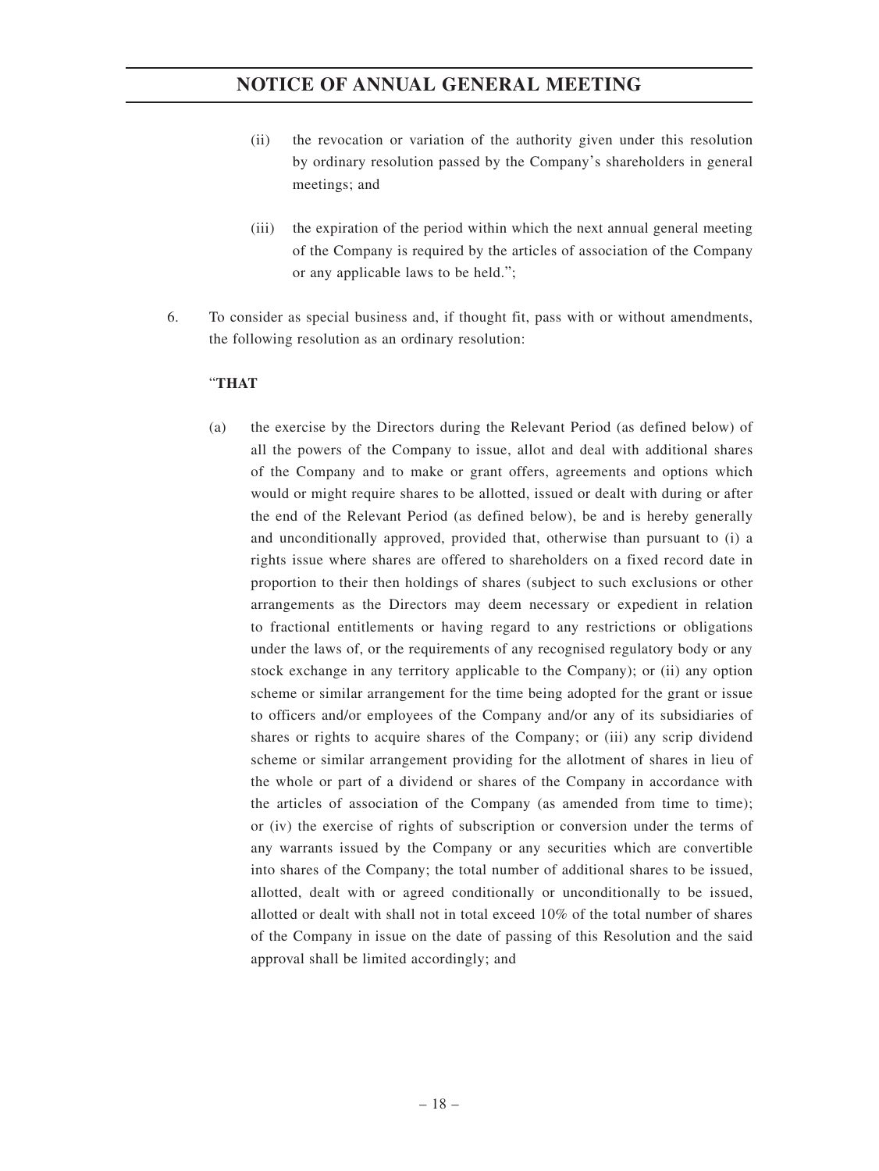- (ii) the revocation or variation of the authority given under this resolution by ordinary resolution passed by the Company's shareholders in general meetings; and
- (iii) the expiration of the period within which the next annual general meeting of the Company is required by the articles of association of the Company or any applicable laws to be held.";
- 6. To consider as special business and, if thought fit, pass with or without amendments, the following resolution as an ordinary resolution:

## "**THAT**

(a) the exercise by the Directors during the Relevant Period (as defined below) of all the powers of the Company to issue, allot and deal with additional shares of the Company and to make or grant offers, agreements and options which would or might require shares to be allotted, issued or dealt with during or after the end of the Relevant Period (as defined below), be and is hereby generally and unconditionally approved, provided that, otherwise than pursuant to (i) a rights issue where shares are offered to shareholders on a fixed record date in proportion to their then holdings of shares (subject to such exclusions or other arrangements as the Directors may deem necessary or expedient in relation to fractional entitlements or having regard to any restrictions or obligations under the laws of, or the requirements of any recognised regulatory body or any stock exchange in any territory applicable to the Company); or (ii) any option scheme or similar arrangement for the time being adopted for the grant or issue to officers and/or employees of the Company and/or any of its subsidiaries of shares or rights to acquire shares of the Company; or (iii) any scrip dividend scheme or similar arrangement providing for the allotment of shares in lieu of the whole or part of a dividend or shares of the Company in accordance with the articles of association of the Company (as amended from time to time); or (iv) the exercise of rights of subscription or conversion under the terms of any warrants issued by the Company or any securities which are convertible into shares of the Company; the total number of additional shares to be issued, allotted, dealt with or agreed conditionally or unconditionally to be issued, allotted or dealt with shall not in total exceed 10% of the total number of shares of the Company in issue on the date of passing of this Resolution and the said approval shall be limited accordingly; and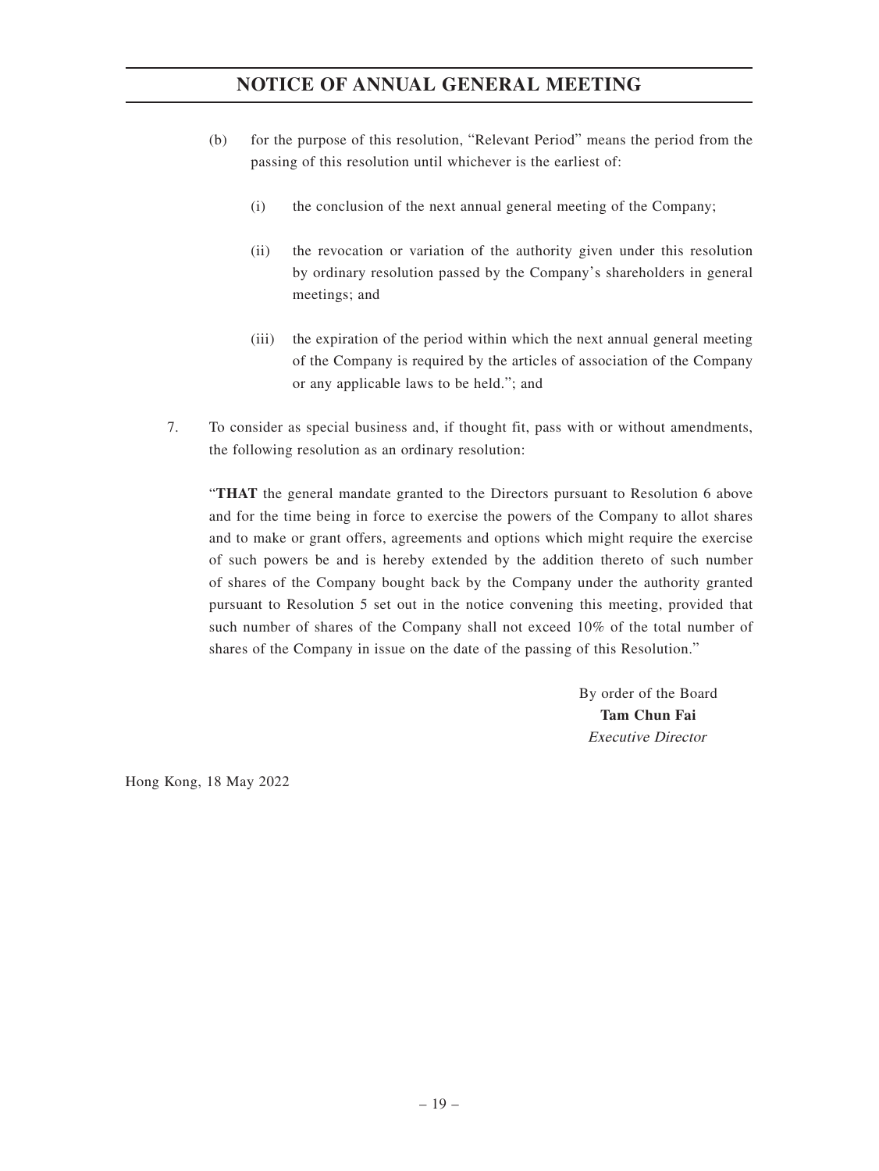- (b) for the purpose of this resolution, "Relevant Period" means the period from the passing of this resolution until whichever is the earliest of:
	- (i) the conclusion of the next annual general meeting of the Company;
	- (ii) the revocation or variation of the authority given under this resolution by ordinary resolution passed by the Company's shareholders in general meetings; and
	- (iii) the expiration of the period within which the next annual general meeting of the Company is required by the articles of association of the Company or any applicable laws to be held."; and
- 7. To consider as special business and, if thought fit, pass with or without amendments, the following resolution as an ordinary resolution:

"**THAT** the general mandate granted to the Directors pursuant to Resolution 6 above and for the time being in force to exercise the powers of the Company to allot shares and to make or grant offers, agreements and options which might require the exercise of such powers be and is hereby extended by the addition thereto of such number of shares of the Company bought back by the Company under the authority granted pursuant to Resolution 5 set out in the notice convening this meeting, provided that such number of shares of the Company shall not exceed 10% of the total number of shares of the Company in issue on the date of the passing of this Resolution."

> By order of the Board **Tam Chun Fai** Executive Director

Hong Kong, 18 May 2022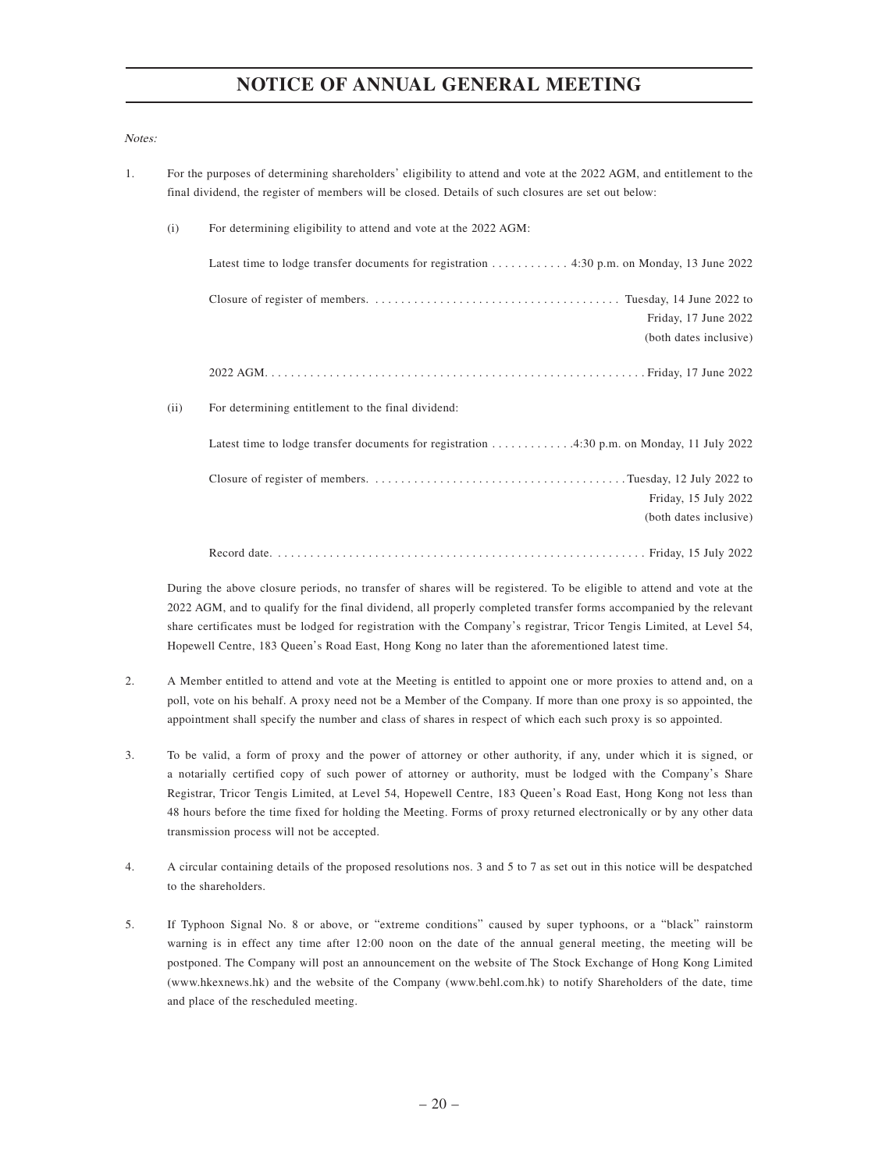#### Notes:

1. For the purposes of determining shareholders' eligibility to attend and vote at the 2022 AGM, and entitlement to the final dividend, the register of members will be closed. Details of such closures are set out below: (i) For determining eligibility to attend and vote at the 2022 AGM: Latest time to lodge transfer documents for registration ............ 4:30 p.m. on Monday, 13 June 2022 Closure of register of members. ...................................... Tuesday, 14 June 2022 to Friday, 17 June 2022 (both dates inclusive) 2022 AGM........................................................... Friday, 17 June 2022 (ii) For determining entitlement to the final dividend: Latest time to lodge transfer documents for registration ...............4:30 p.m. on Monday, 11 July 2022 Closure of register of members. ....................................... Tuesday, 12 July 2022 to Friday, 15 July 2022 (both dates inclusive) Record date. ......................................................... Friday, 15 July 2022

During the above closure periods, no transfer of shares will be registered. To be eligible to attend and vote at the 2022 AGM, and to qualify for the final dividend, all properly completed transfer forms accompanied by the relevant share certificates must be lodged for registration with the Company's registrar, Tricor Tengis Limited, at Level 54, Hopewell Centre, 183 Queen's Road East, Hong Kong no later than the aforementioned latest time.

- 2. A Member entitled to attend and vote at the Meeting is entitled to appoint one or more proxies to attend and, on a poll, vote on his behalf. A proxy need not be a Member of the Company. If more than one proxy is so appointed, the appointment shall specify the number and class of shares in respect of which each such proxy is so appointed.
- 3. To be valid, a form of proxy and the power of attorney or other authority, if any, under which it is signed, or a notarially certified copy of such power of attorney or authority, must be lodged with the Company's Share Registrar, Tricor Tengis Limited, at Level 54, Hopewell Centre, 183 Queen's Road East, Hong Kong not less than 48 hours before the time fixed for holding the Meeting. Forms of proxy returned electronically or by any other data transmission process will not be accepted.
- 4. A circular containing details of the proposed resolutions nos. 3 and 5 to 7 as set out in this notice will be despatched to the shareholders.
- 5. If Typhoon Signal No. 8 or above, or "extreme conditions" caused by super typhoons, or a "black" rainstorm warning is in effect any time after 12:00 noon on the date of the annual general meeting, the meeting will be postponed. The Company will post an announcement on the website of The Stock Exchange of Hong Kong Limited (www.hkexnews.hk) and the website of the Company (www.behl.com.hk) to notify Shareholders of the date, time and place of the rescheduled meeting.